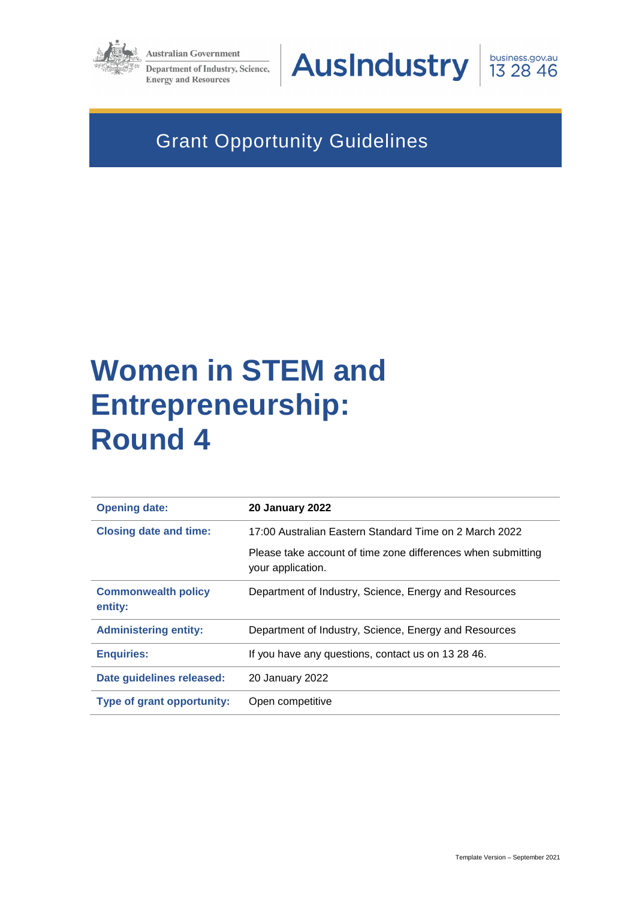

**Australian Government** 

**Department of Industry, Science, Energy and Resources** 

# **AusIndustry**



# Grant Opportunity Guidelines

# **Women in STEM and Entrepreneurship: Round 4**

| <b>Opening date:</b>                  | <b>20 January 2022</b>                                                            |
|---------------------------------------|-----------------------------------------------------------------------------------|
| <b>Closing date and time:</b>         | 17:00 Australian Eastern Standard Time on 2 March 2022                            |
|                                       | Please take account of time zone differences when submitting<br>your application. |
| <b>Commonwealth policy</b><br>entity: | Department of Industry, Science, Energy and Resources                             |
| <b>Administering entity:</b>          | Department of Industry, Science, Energy and Resources                             |
| <b>Enquiries:</b>                     | If you have any questions, contact us on 13 28 46.                                |
| Date guidelines released:             | 20 January 2022                                                                   |
| Type of grant opportunity:            | Open competitive                                                                  |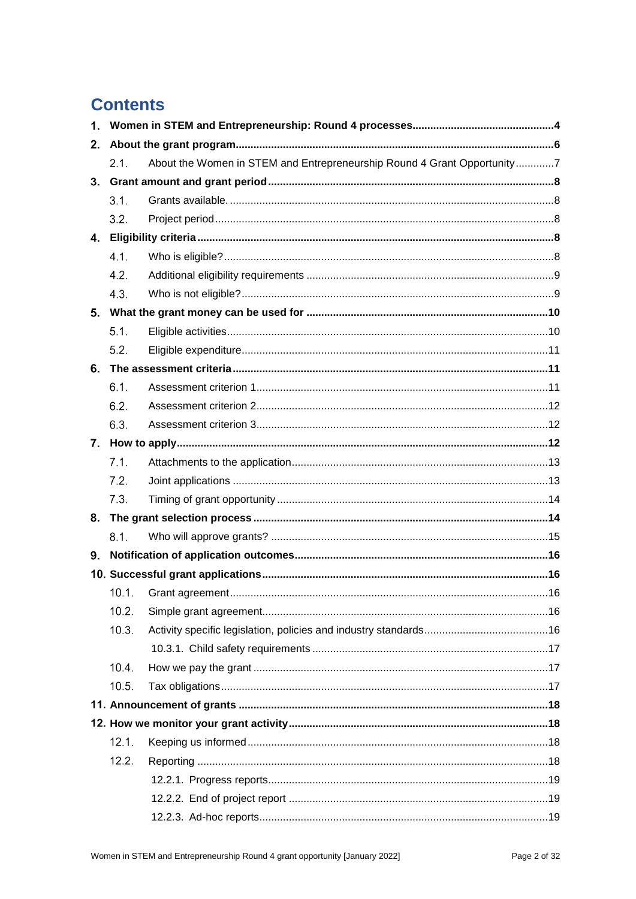## **Contents**

| 1. |       |                                                                         |  |
|----|-------|-------------------------------------------------------------------------|--|
| 2. |       |                                                                         |  |
|    | 2.1   | About the Women in STEM and Entrepreneurship Round 4 Grant Opportunity7 |  |
|    |       |                                                                         |  |
|    | 3.1.  |                                                                         |  |
|    | 3.2.  |                                                                         |  |
| 4. |       |                                                                         |  |
|    | 4.1.  |                                                                         |  |
|    | 4.2.  |                                                                         |  |
|    | 4.3.  |                                                                         |  |
| 5. |       |                                                                         |  |
|    | 5.1.  |                                                                         |  |
|    | 5.2.  |                                                                         |  |
| 6. |       |                                                                         |  |
|    | 6.1.  |                                                                         |  |
|    | 6.2.  |                                                                         |  |
|    | 6.3.  |                                                                         |  |
| 7. |       |                                                                         |  |
|    | 7.1.  |                                                                         |  |
|    | 7.2.  |                                                                         |  |
|    | 7.3.  |                                                                         |  |
| 8. |       |                                                                         |  |
|    | 8.1.  |                                                                         |  |
| 9. |       |                                                                         |  |
|    |       |                                                                         |  |
|    |       | 16                                                                      |  |
|    | 10.2. |                                                                         |  |
|    | 10.3. |                                                                         |  |
|    |       |                                                                         |  |
|    | 10.4. |                                                                         |  |
|    | 10.5. |                                                                         |  |
|    |       |                                                                         |  |
|    |       |                                                                         |  |
|    | 12.1. |                                                                         |  |
|    | 12.2. |                                                                         |  |
|    |       |                                                                         |  |
|    |       |                                                                         |  |
|    |       |                                                                         |  |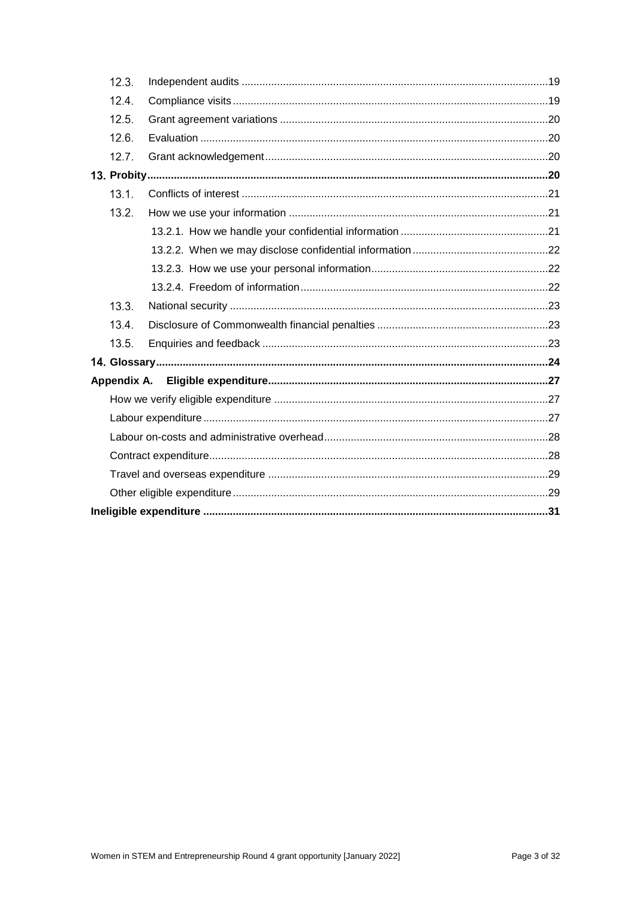| 12.3. |  |  |
|-------|--|--|
| 12.4. |  |  |
| 12.5. |  |  |
| 12.6. |  |  |
| 12.7. |  |  |
|       |  |  |
| 13.1. |  |  |
| 13.2. |  |  |
|       |  |  |
|       |  |  |
|       |  |  |
|       |  |  |
| 13.3. |  |  |
| 13.4. |  |  |
| 13.5. |  |  |
|       |  |  |
|       |  |  |
|       |  |  |
|       |  |  |
|       |  |  |
|       |  |  |
|       |  |  |
|       |  |  |
|       |  |  |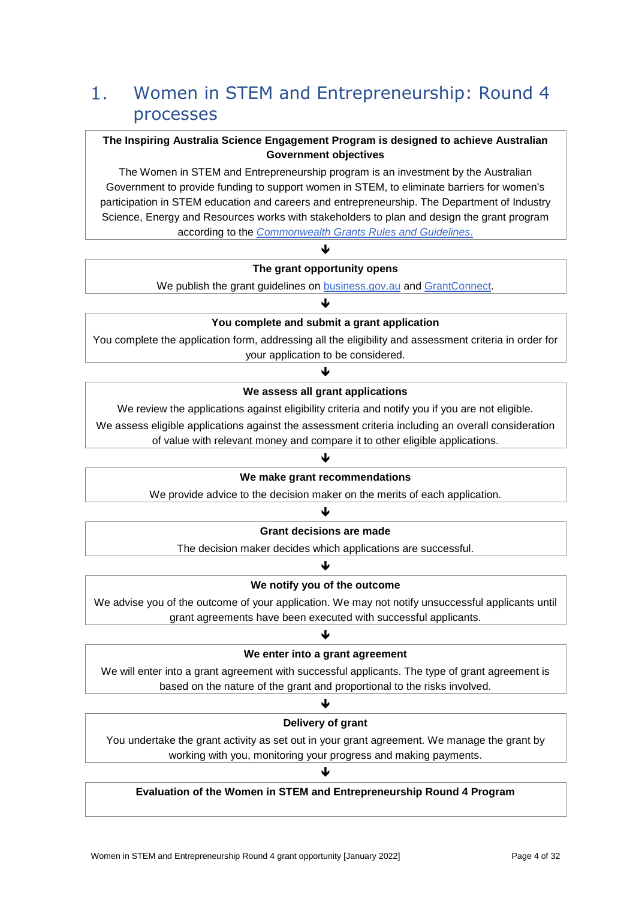#### Women in STEM and Entrepreneurship: Round 4  $1.$ processes

#### **The Inspiring Australia Science Engagement Program is designed to achieve Australian Government objectives**

The Women in STEM and Entrepreneurship program is an investment by the Australian Government to provide funding to support women in STEM, to eliminate barriers for women's participation in STEM education and careers and entrepreneurship. The Department of Industry Science, Energy and Resources works with stakeholders to plan and design the grant program according to the *[Commonwealth Grants Rules and Guidelines](https://www.finance.gov.au/government/commonwealth-grants/commonwealth-grants-rules-guidelines)*.

### J **The grant opportunity opens**

We publish the grant guidelines on [business.gov.au](http://www.business.gov.au/WISE) and [GrantConnect.](http://www.grants.gov.au/)

#### ₩ **You complete and submit a grant application**

You complete the application form, addressing all the eligibility and assessment criteria in order for your application to be considered.

### J **We assess all grant applications**

We review the applications against eligibility criteria and notify you if you are not eligible.

We assess eligible applications against the assessment criteria including an overall consideration

of value with relevant money and compare it to other eligible applications.

#### J

#### **We make grant recommendations**

We provide advice to the decision maker on the merits of each application.

#### J

**Grant decisions are made** 

The decision maker decides which applications are successful.

#### Ψ

#### **We notify you of the outcome**

We advise you of the outcome of your application. We may not notify unsuccessful applicants until grant agreements have been executed with successful applicants.

#### ₩ **We enter into a grant agreement**

We will enter into a grant agreement with successful applicants. The type of grant agreement is based on the nature of the grant and proportional to the risks involved.

### ↓ **Delivery of grant**

You undertake the grant activity as set out in your grant agreement. We manage the grant by working with you, monitoring your progress and making payments.

### ↓ **Evaluation of the Women in STEM and Entrepreneurship Round 4 Program**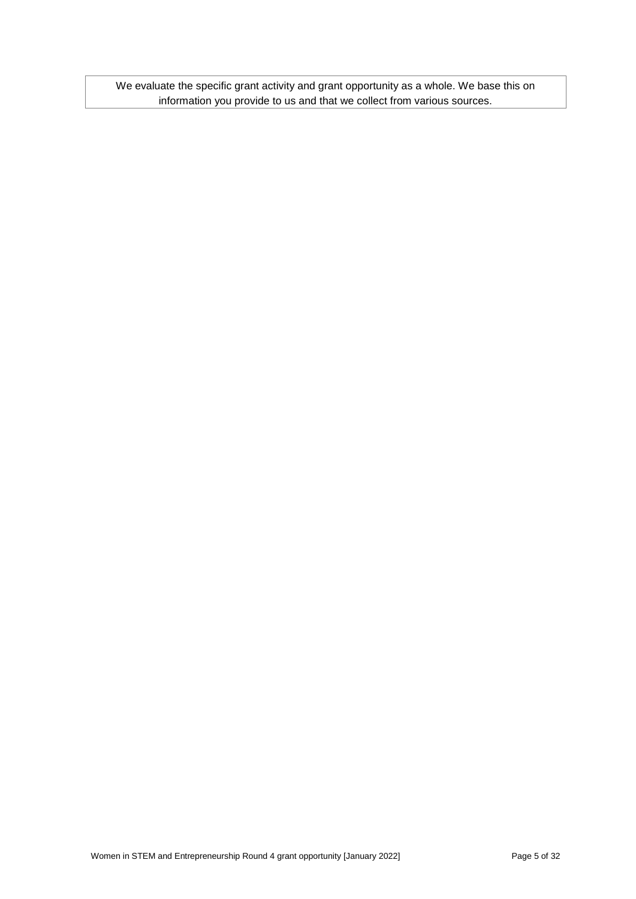We evaluate the specific grant activity and grant opportunity as a whole. We base this on information you provide to us and that we collect from various sources.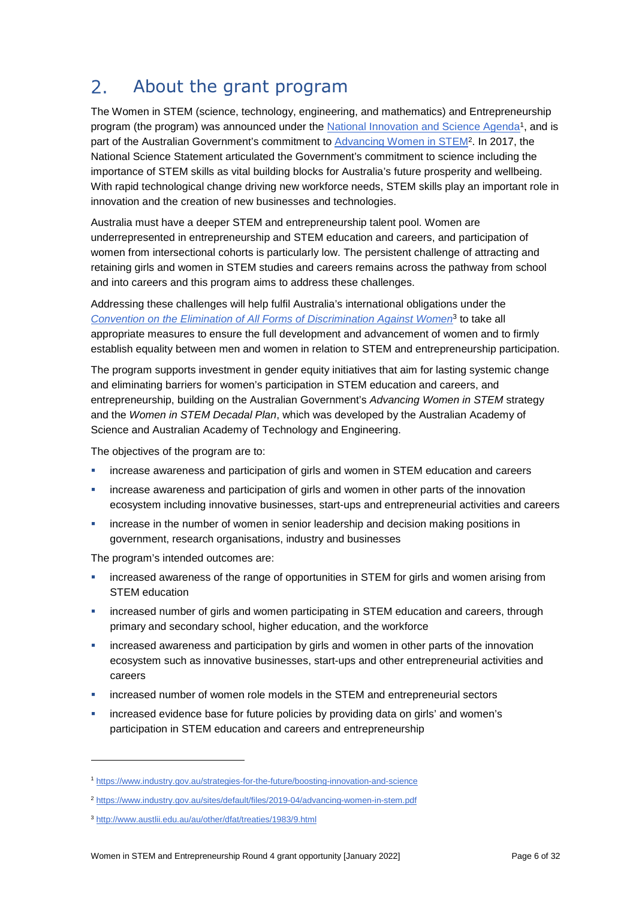#### About the grant program  $2.$

The Women in STEM (science, technology, engineering, and mathematics) and Entrepreneurship program (the program) was announced under the [National Innovation and Science Agenda](https://www.industry.gov.au/strategies-for-the-future/boosting-innovation-and-science)<sup>1</sup>, and is part of the Australian Government's commitment to [Advancing Women in STEM](https://www.industry.gov.au/sites/default/files/2019-04/advancing-women-in-stem.pdf)<sup>2</sup>. In 2017, the National Science Statement articulated the Government's commitment to science including the importance of STEM skills as vital building blocks for Australia's future prosperity and wellbeing. With rapid technological change driving new workforce needs, STEM skills play an important role in innovation and the creation of new businesses and technologies.

Australia must have a deeper STEM and entrepreneurship talent pool. Women are underrepresented in entrepreneurship and STEM education and careers, and participation of women from intersectional cohorts is particularly low. The persistent challenge of attracting and retaining girls and women in STEM studies and careers remains across the pathway from school and into careers and this program aims to address these challenges.

Addressing these challenges will help fulfil Australia's international obligations under the *[Convention on the Elimination of All Forms of Discrimination Against Women](http://www.austlii.edu.au/au/other/dfat/treaties/1983/9.html)*<sup>3</sup> to take all appropriate measures to ensure the full development and advancement of women and to firmly establish equality between men and women in relation to STEM and entrepreneurship participation.

The program supports investment in gender equity initiatives that aim for lasting systemic change and eliminating barriers for women's participation in STEM education and careers, and entrepreneurship, building on the Australian Government's *Advancing Women in STEM* strategy and the *Women in STEM Decadal Plan*, which was developed by the Australian Academy of Science and Australian Academy of Technology and Engineering.

The objectives of the program are to:

- increase awareness and participation of girls and women in STEM education and careers
- **EXED** increase awareness and participation of girls and women in other parts of the innovation ecosystem including innovative businesses, start-ups and entrepreneurial activities and careers
- increase in the number of women in senior leadership and decision making positions in government, research organisations, industry and businesses

The program's intended outcomes are:

- **EXED** increased awareness of the range of opportunities in STEM for girls and women arising from STEM education
- increased number of girls and women participating in STEM education and careers, through primary and secondary school, higher education, and the workforce
- **EXED** increased awareness and participation by girls and women in other parts of the innovation ecosystem such as innovative businesses, start-ups and other entrepreneurial activities and careers
- increased number of women role models in the STEM and entrepreneurial sectors
- increased evidence base for future policies by providing data on girls' and women's participation in STEM education and careers and entrepreneurship

-

<sup>1</sup> <https://www.industry.gov.au/strategies-for-the-future/boosting-innovation-and-science>

<sup>2</sup> <https://www.industry.gov.au/sites/default/files/2019-04/advancing-women-in-stem.pdf>

<sup>3</sup> <http://www.austlii.edu.au/au/other/dfat/treaties/1983/9.html>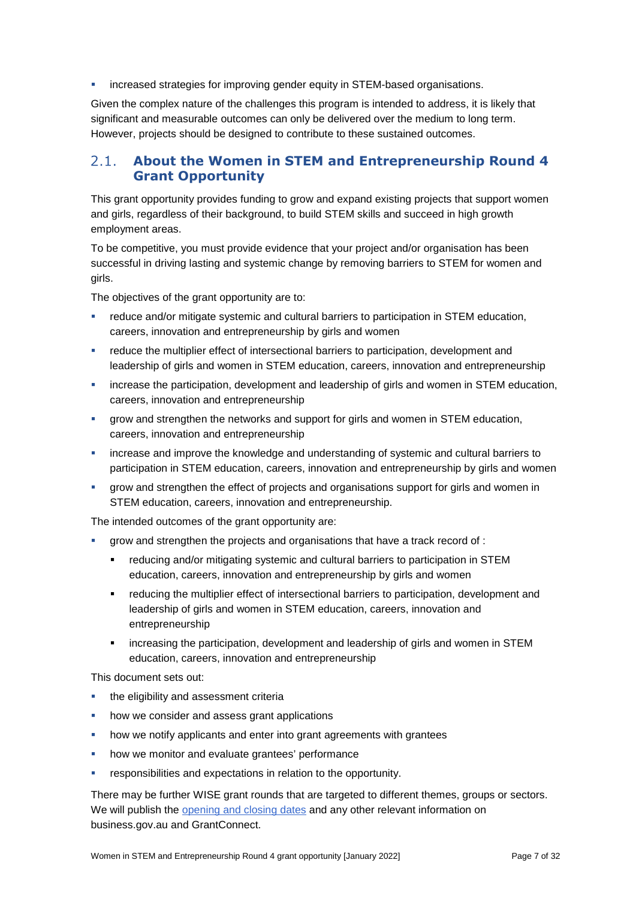increased strategies for improving gender equity in STEM-based organisations.

Given the complex nature of the challenges this program is intended to address, it is likely that significant and measurable outcomes can only be delivered over the medium to long term. However, projects should be designed to contribute to these sustained outcomes.

#### $2.1.$ **About the Women in STEM and Entrepreneurship Round 4 Grant Opportunity**

This grant opportunity provides funding to grow and expand existing projects that support women and girls, regardless of their background, to build STEM skills and succeed in high growth employment areas.

To be competitive, you must provide evidence that your project and/or organisation has been successful in driving lasting and systemic change by removing barriers to STEM for women and girls.

The objectives of the grant opportunity are to:

- reduce and/or mitigate systemic and cultural barriers to participation in STEM education, careers, innovation and entrepreneurship by girls and women
- reduce the multiplier effect of intersectional barriers to participation, development and leadership of girls and women in STEM education, careers, innovation and entrepreneurship
- increase the participation, development and leadership of girls and women in STEM education, careers, innovation and entrepreneurship
- grow and strengthen the networks and support for girls and women in STEM education, careers, innovation and entrepreneurship
- **EXED** increase and improve the knowledge and understanding of systemic and cultural barriers to participation in STEM education, careers, innovation and entrepreneurship by girls and women
- grow and strengthen the effect of projects and organisations support for girls and women in STEM education, careers, innovation and entrepreneurship.

The intended outcomes of the grant opportunity are:

- grow and strengthen the projects and organisations that have a track record of :
	- reducing and/or mitigating systemic and cultural barriers to participation in STEM education, careers, innovation and entrepreneurship by girls and women
	- reducing the multiplier effect of intersectional barriers to participation, development and leadership of girls and women in STEM education, careers, innovation and entrepreneurship
	- increasing the participation, development and leadership of girls and women in STEM education, careers, innovation and entrepreneurship

This document sets out:

- **the eligibility and assessment criterially**
- how we consider and assess grant applications
- how we notify applicants and enter into grant agreements with grantees
- **how we monitor and evaluate grantees' performance**
- responsibilities and expectations in relation to the opportunity.

There may be further WISE grant rounds that are targeted to different themes, groups or sectors. We will publish the [opening and closing dates](http://www.business.gov.au/WISE) and any other relevant information on business.gov.au and GrantConnect.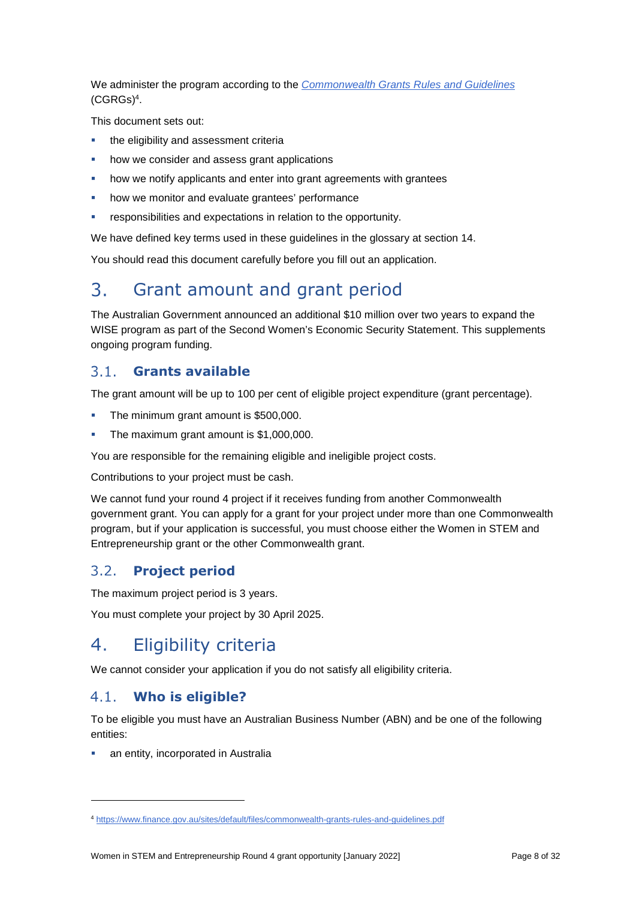We administer the program according to the *[Commonwealth Grants Rules and Guidelines](https://www.finance.gov.au/sites/default/files/2019-11/commonwealth-grants-rules-and-guidelines.pdf)* [\(CGRGs\)](https://www.finance.gov.au/sites/default/files/2019-11/commonwealth-grants-rules-and-guidelines.pdf)<sup>4</sup> .

This document sets out:

- the eligibility and assessment criteria
- how we consider and assess grant applications
- how we notify applicants and enter into grant agreements with grantees
- how we monitor and evaluate grantees' performance
- responsibilities and expectations in relation to the opportunity.

We have defined key terms used in these guidelines in the glossary at section [14.](#page-23-0)

You should read this document carefully before you fill out an application.

#### Grant amount and grant period  $\mathcal{B}_{-}$

The Australian Government announced an additional \$10 million over two years to expand the WISE program as part of the Second Women's Economic Security Statement. This supplements ongoing program funding.

#### $3.1.$ **Grants available**

The grant amount will be up to 100 per cent of eligible project expenditure (grant percentage).

- The minimum grant amount is \$500,000.
- The maximum grant amount is \$1,000,000.

You are responsible for the remaining eligible and ineligible project costs.

Contributions to your project must be cash.

We cannot fund your round 4 project if it receives funding from another Commonwealth government grant. You can apply for a grant for your project under more than one Commonwealth program, but if your application is successful, you must choose either the Women in STEM and Entrepreneurship grant or the other Commonwealth grant.

#### $3.2.$ **Project period**

The maximum project period is 3 years.

You must complete your project by 30 April 2025.

#### Eligibility criteria  $4_{-}$

We cannot consider your application if you do not satisfy all eligibility criteria.

#### $4.1.$ **Who is eligible?**

1

To be eligible you must have an Australian Business Number (ABN) and be one of the following entities:

an entity, incorporated in Australia

<sup>4</sup> <https://www.finance.gov.au/sites/default/files/commonwealth-grants-rules-and-guidelines.pdf>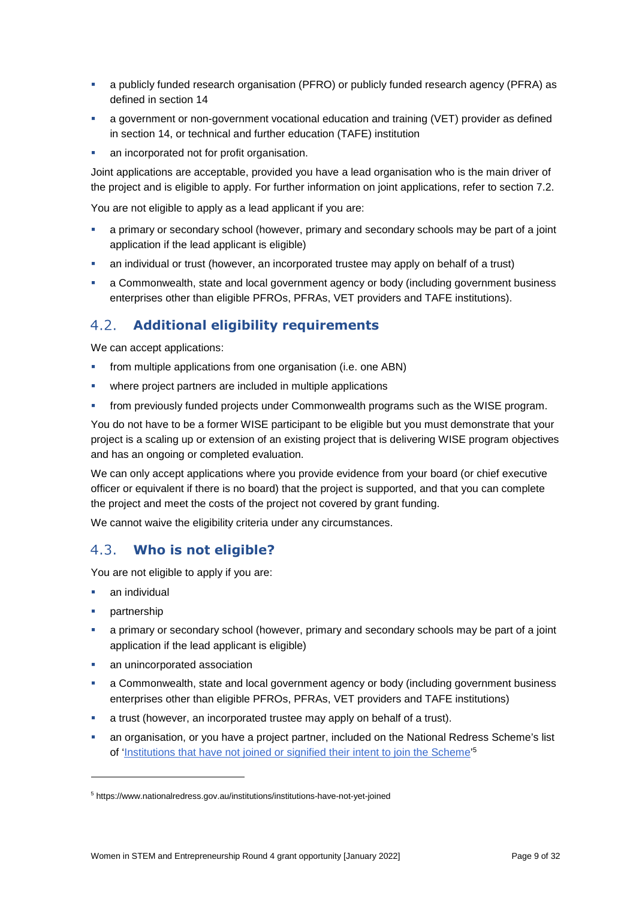- a publicly funded research organisation (PFRO) or publicly funded research agency (PFRA) as defined in section [14](#page-23-0)
- a government or non-government vocational education and training (VET) provider as defined in section 14, or technical and further education (TAFE) institution
- an incorporated not for profit organisation.

Joint applications are acceptable, provided you have a lead organisation who is the main driver of the project and is eligible to apply. For further information on joint applications, refer to section [7.2.](#page-12-0)

You are not eligible to apply as a lead applicant if you are:

- a primary or secondary school (however, primary and secondary schools may be part of a joint application if the lead applicant is eligible)
- an individual or trust (however, an incorporated trustee may apply on behalf of a trust)
- a Commonwealth, state and local government agency or body (including government business enterprises other than eligible PFROs, PFRAs, VET providers and TAFE institutions).

#### $4.2.$ **Additional eligibility requirements**

We can accept applications:

- **from multiple applications from one organisation (i.e. one ABN)**
- where project partners are included in multiple applications
- from previously funded projects under Commonwealth programs such as the WISE program.

You do not have to be a former WISE participant to be eligible but you must demonstrate that your project is a scaling up or extension of an existing project that is delivering WISE program objectives and has an ongoing or completed evaluation.

We can only accept applications where you provide evidence from your board (or chief executive officer or equivalent if there is no board) that the project is supported, and that you can complete the project and meet the costs of the project not covered by grant funding.

We cannot waive the eligibility criteria under any circumstances.

#### $4.3.$ **Who is not eligible?**

You are not eligible to apply if you are:

- **an individual**
- partnership

1

- a primary or secondary school (however, primary and secondary schools may be part of a joint application if the lead applicant is eligible)
- **an unincorporated association**
- a Commonwealth, state and local government agency or body (including government business enterprises other than eligible PFROs, PFRAs, VET providers and TAFE institutions)
- a trust (however, an incorporated trustee may apply on behalf of a trust).
- an organisation, or you have a project partner, included on the National Redress Scheme's list of ['Institutions that have not joined or signified their intent to join the Scheme'](https://www.nationalredress.gov.au/institutions/institutions-have-not-yet-joined)<sup>5</sup>

<sup>5</sup> https://www.nationalredress.gov.au/institutions/institutions-have-not-yet-joined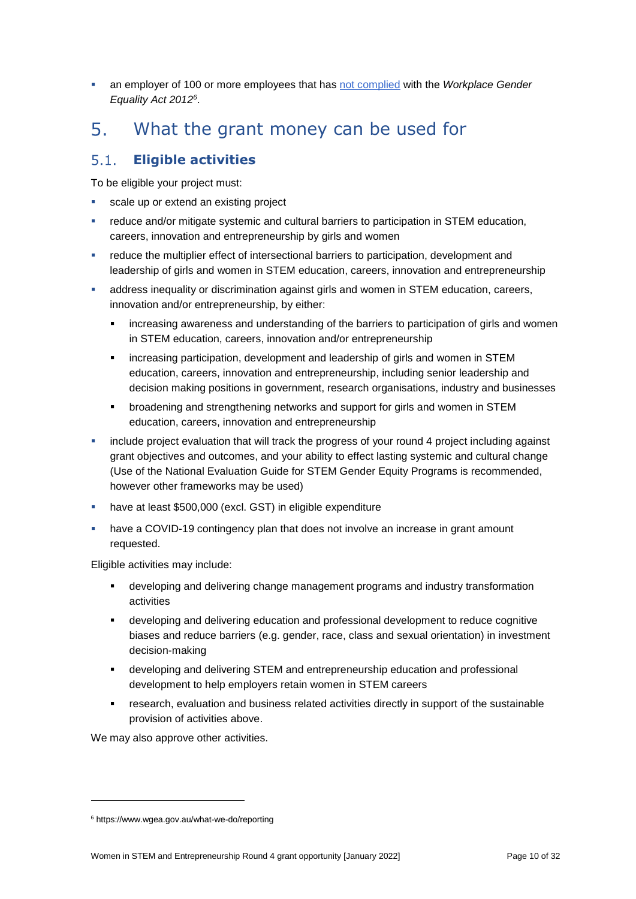an employer of 100 or more employees that has [not complied](https://www.wgea.gov.au/what-we-do/compliance-reporting/non-compliant-list) with the *Workplace Gender Equality Act 2012<sup>6</sup>* .

#### $5<sub>1</sub>$ What the grant money can be used for

#### <span id="page-9-0"></span> $5.1.$ **Eligible activities**

To be eligible your project must:

- scale up or extend an existing project
- reduce and/or mitigate systemic and cultural barriers to participation in STEM education, careers, innovation and entrepreneurship by girls and women
- reduce the multiplier effect of intersectional barriers to participation, development and leadership of girls and women in STEM education, careers, innovation and entrepreneurship
- address inequality or discrimination against girls and women in STEM education, careers, innovation and/or entrepreneurship, by either:
	- increasing awareness and understanding of the barriers to participation of girls and women in STEM education, careers, innovation and/or entrepreneurship
	- increasing participation, development and leadership of girls and women in STEM education, careers, innovation and entrepreneurship, including senior leadership and decision making positions in government, research organisations, industry and businesses
	- broadening and strengthening networks and support for girls and women in STEM education, careers, innovation and entrepreneurship
- **EXED** include project evaluation that will track the progress of your round 4 project including against grant objectives and outcomes, and your ability to effect lasting systemic and cultural change (Use of the [National Evaluation Guide for STEM Gender Equity Programs](https://womeninstem.org.au/national-evaluation-guide/) is recommended, however other frameworks may be used)
- have at least \$500,000 (excl. GST) in eligible expenditure
- **have a COVID-19 contingency plan that does not involve an increase in grant amount** requested.

Eligible activities may include:

- developing and delivering change management programs and industry transformation activities
- developing and delivering education and professional development to reduce cognitive biases and reduce barriers (e.g. gender, race, class and sexual orientation) in investment decision-making
- developing and delivering STEM and entrepreneurship education and professional development to help employers retain women in STEM careers
- research, evaluation and business related activities directly in support of the sustainable provision of activities above.

We may also approve other activities.

1

<sup>6</sup> https://www.wgea.gov.au/what-we-do/reporting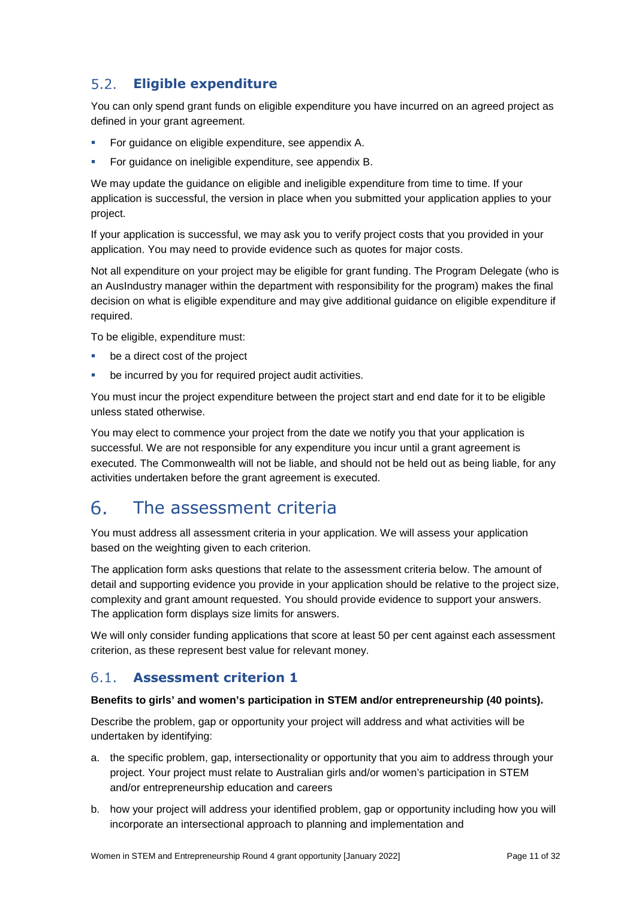#### <span id="page-10-0"></span> $5.2.$ **Eligible expenditure**

You can only spend grant funds on eligible expenditure you have incurred on an agreed project as defined in your grant agreement.

- For guidance on eligible expenditure, see appendix A.
- For guidance on ineligible expenditure, see appendix B.

We may update the guidance on eligible and ineligible expenditure from time to time. If your application is successful, the version in place when you submitted your application applies to your project.

If your application is successful, we may ask you to verify project costs that you provided in your application. You may need to provide evidence such as quotes for major costs.

Not all expenditure on your project may be eligible for grant funding. The Program Delegate (who is an AusIndustry manager within the department with responsibility for the program) makes the final decision on what is eligible expenditure and may give additional guidance on eligible expenditure if required.

To be eligible, expenditure must:

- be a direct cost of the project
- be incurred by you for required project audit activities.

You must incur the project expenditure between the project start and end date for it to be eligible unless stated otherwise.

You may elect to commence your project from the date we notify you that your application is successful. We are not responsible for any expenditure you incur until a grant agreement is executed. The Commonwealth will not be liable, and should not be held out as being liable, for any activities undertaken before the grant agreement is executed.

#### 6. The assessment criteria

You must address all assessment criteria in your application. We will assess your application based on the weighting given to each criterion.

The application form asks questions that relate to the assessment criteria below. The amount of detail and supporting evidence you provide in your application should be relative to the project size, complexity and grant amount requested. You should provide evidence to support your answers. The application form displays size limits for answers.

We will only consider funding applications that score at least 50 per cent against each assessment criterion, as these represent best value for relevant money.

#### $6.1.$ **Assessment criterion 1**

#### **Benefits to girls' and women's participation in STEM and/or entrepreneurship (40 points).**

Describe the problem, gap or opportunity your project will address and what activities will be undertaken by identifying:

- a. the specific problem, gap, intersectionality or opportunity that you aim to address through your project. Your project must relate to Australian girls and/or women's participation in STEM and/or entrepreneurship education and careers
- b. how your project will address your identified problem, gap or opportunity including how you will incorporate an intersectional approach to planning and implementation and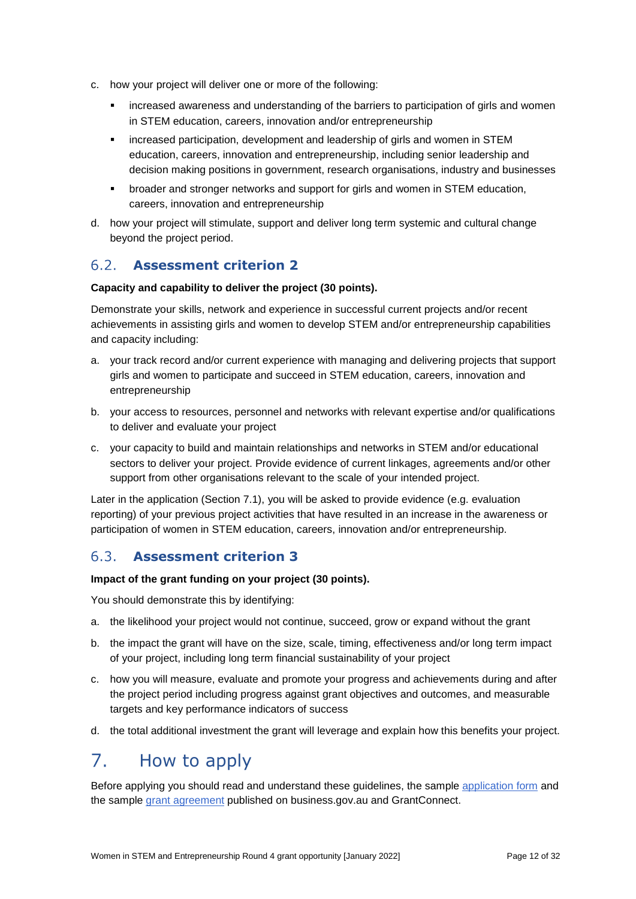- c. how your project will deliver one or more of the following:
	- **EXED and Amage art in analytic standard and understanding of the barriers to participation of girls and women** in STEM education, careers, innovation and/or entrepreneurship
	- increased participation, development and leadership of girls and women in STEM education, careers, innovation and entrepreneurship, including senior leadership and decision making positions in government, research organisations, industry and businesses
	- broader and stronger networks and support for girls and women in STEM education, careers, innovation and entrepreneurship
- d. how your project will stimulate, support and deliver long term systemic and cultural change beyond the project period.

#### **Assessment criterion 2**   $6.2.$

#### **Capacity and capability to deliver the project (30 points).**

Demonstrate your skills, network and experience in successful current projects and/or recent achievements in assisting girls and women to develop STEM and/or entrepreneurship capabilities and capacity including:

- a. your track record and/or current experience with managing and delivering projects that support girls and women to participate and succeed in STEM education, careers, innovation and entrepreneurship
- b. your access to resources, personnel and networks with relevant expertise and/or qualifications to deliver and evaluate your project
- c. your capacity to build and maintain relationships and networks in STEM and/or educational sectors to deliver your project. Provide evidence of current linkages, agreements and/or other support from other organisations relevant to the scale of your intended project.

Later in the application (Section 7.1), you will be asked to provide evidence (e.g. evaluation reporting) of your previous project activities that have resulted in an increase in the awareness or participation of women in STEM education, careers, innovation and/or entrepreneurship.

#### $6.3.$ **Assessment criterion 3**

#### **Impact of the grant funding on your project (30 points).**

You should demonstrate this by identifying:

- a. the likelihood your project would not continue, succeed, grow or expand without the grant
- b. the impact the grant will have on the size, scale, timing, effectiveness and/or long term impact of your project, including long term financial sustainability of your project
- c. how you will measure, evaluate and promote your progress and achievements during and after the project period including progress against grant objectives and outcomes, and measurable targets and key performance indicators of success
- d. the total additional investment the grant will leverage and explain how this benefits your project.

#### $7.$ How to apply

Before applying you should read and understand these guidelines, the sample application form and the sample grant agreement published on business.gov.au and GrantConnect.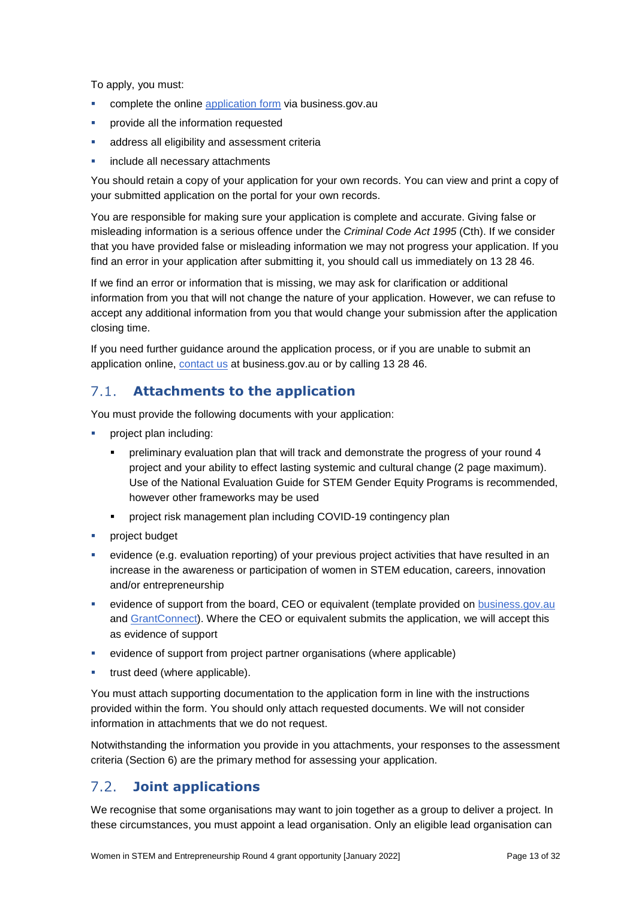To apply, you must:

- complete the online [application form](https://www.business.gov.au/grants-and-programs/women-in-stem-and-entrepreneurship-round-4) via business.gov.au
- provide all the information requested
- address all eligibility and assessment criteria
- include all necessary attachments

You should retain a copy of your application for your own records. You can view and print a copy of your submitted application on the portal for your own records.

You are responsible for making sure your application is complete and accurate. Giving false or misleading information is a serious offence under the *Criminal Code Act 1995* (Cth). If we consider that you have provided false or misleading information we may not progress your application. If you find an error in your application after submitting it, you should call us immediately on 13 28 46.

If we find an error or information that is missing, we may ask for clarification or additional information from you that will not change the nature of your application. However, we can refuse to accept any additional information from you that would change your submission after the application closing time.

If you need further guidance around the application process, or if you are unable to submit an application online, [contact us](https://www.business.gov.au/contact-us) at business.gov.au or by calling 13 28 46.

#### $7.1.$ **Attachments to the application**

You must provide the following documents with your application:

- project plan including:
	- preliminary evaluation plan that will track and demonstrate the progress of your round 4 project and your ability to effect lasting systemic and cultural change (2 page maximum). Use of the [National Evaluation Guide for STEM Gender Equity Programs](https://womeninstem.org.au/national-evaluation-guide/) is recommended, however other frameworks may be used
	- project risk management plan including COVID-19 contingency plan
- **project budget**
- evidence (e.g. evaluation reporting) of your previous project activities that have resulted in an increase in the awareness or participation of women in STEM education, careers, innovation and/or entrepreneurship
- evidence of support from the board, CEO or equivalent (template provided on [business.gov.au](https://www.business.gov.au/grants-and-programs/women-in-stem-and-entrepreneurship-round-4#key-documents) and [GrantConnect\)](http://www.grants.gov.au/). Where the CEO or equivalent submits the application, we will accept this as evidence of support
- evidence of support from project partner organisations (where applicable)
- trust deed (where applicable).

You must attach supporting documentation to the application form in line with the instructions provided within the form. You should only attach requested documents. We will not consider information in attachments that we do not request.

Notwithstanding the information you provide in you attachments, your responses to the assessment criteria (Section 6) are the primary method for assessing your application.

#### <span id="page-12-0"></span> $7.2.$ **Joint applications**

We recognise that some organisations may want to join together as a group to deliver a project. In these circumstances, you must appoint a lead organisation. Only an eligible lead organisation can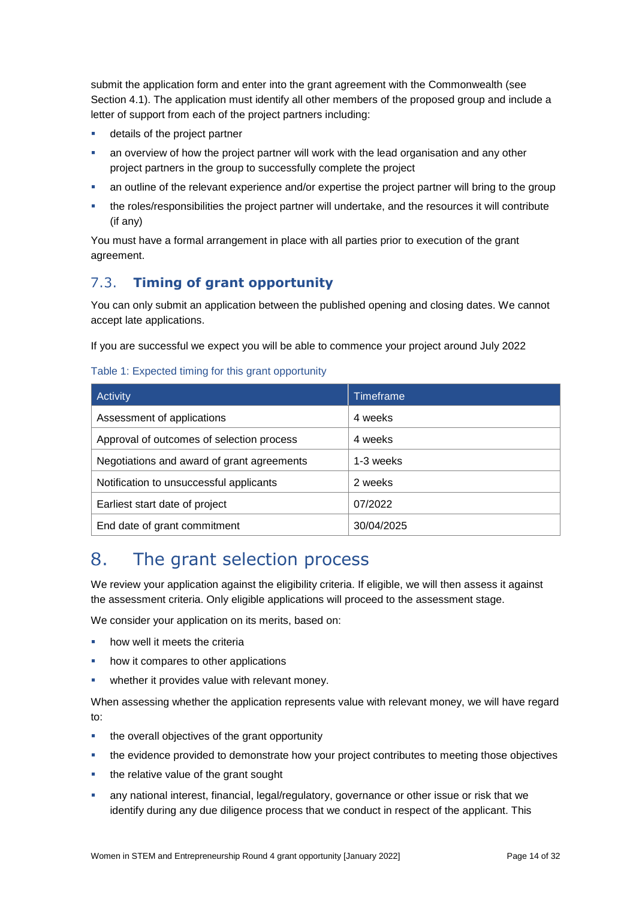submit the application form and enter into the grant agreement with the Commonwealth (see Section 4.1). The application must identify all other members of the proposed group and include a letter of support from each of the project partners including:

- details of the project partner
- an overview of how the project partner will work with the lead organisation and any other project partners in the group to successfully complete the project
- an outline of the relevant experience and/or expertise the project partner will bring to the group
- the roles/responsibilities the project partner will undertake, and the resources it will contribute (if any)

You must have a formal arrangement in place with all parties prior to execution of the grant agreement.

#### $7.3.$ **Timing of grant opportunity**

You can only submit an application between the published opening and closing dates. We cannot accept late applications.

If you are successful we expect you will be able to commence your project around July 2022

#### Table 1: Expected timing for this grant opportunity

| Activity                                   | Timeframe  |
|--------------------------------------------|------------|
| Assessment of applications                 | 4 weeks    |
| Approval of outcomes of selection process  | 4 weeks    |
| Negotiations and award of grant agreements | 1-3 weeks  |
| Notification to unsuccessful applicants    | 2 weeks    |
| Earliest start date of project             | 07/2022    |
| End date of grant commitment               | 30/04/2025 |

#### 8. The grant selection process

We review your application against the eligibility criteria. If eligible, we will then assess it against the assessment criteria. Only eligible applications will proceed to the assessment stage.

We consider your application on its merits, based on:

- how well it meets the criteria
- how it compares to other applications
- **•** whether it provides value with relevant money.

When assessing whether the application represents value with relevant money, we will have regard to:

- the overall objectives of the grant opportunity
- the evidence provided to demonstrate how your project contributes to meeting those objectives
- the relative value of the grant sought
- **any national interest, financial, legal/regulatory, governance or other issue or risk that we** identify during any due diligence process that we conduct in respect of the applicant. This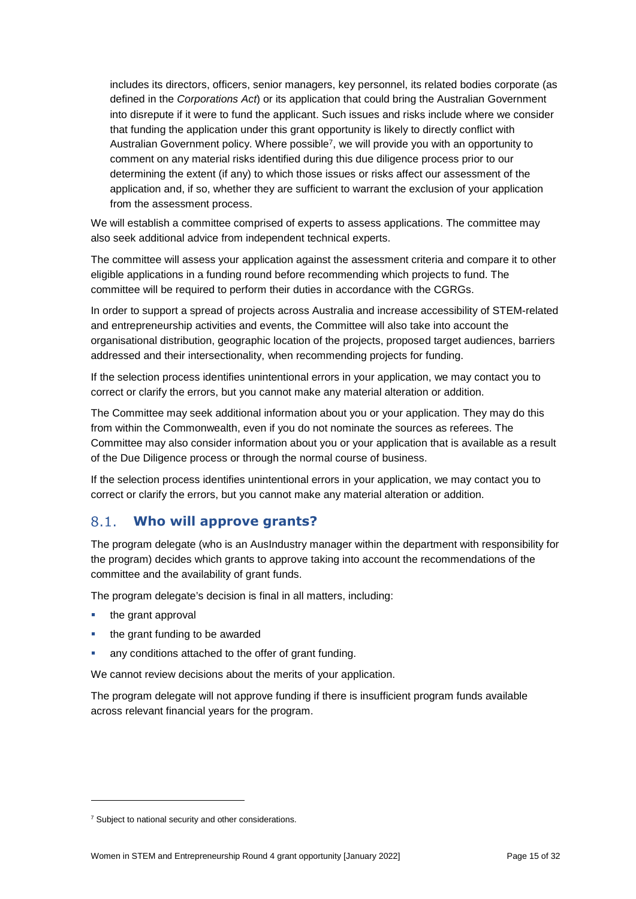includes its directors, officers, senior managers, key personnel, its related bodies corporate (as defined in the *Corporations Act*) or its application that could bring the Australian Government into disrepute if it were to fund the applicant. Such issues and risks include where we consider that funding the application under this grant opportunity is likely to directly conflict with Australian Government policy. Where possible<sup>7</sup>, we will provide you with an opportunity to comment on any material risks identified during this due diligence process prior to our determining the extent (if any) to which those issues or risks affect our assessment of the application and, if so, whether they are sufficient to warrant the exclusion of your application from the assessment process.

We will establish a committee comprised of experts to assess applications. The committee may also seek additional advice from independent technical experts.

The committee will assess your application against the assessment criteria and compare it to other eligible applications in a funding round before recommending which projects to fund. The committee will be required to perform their duties in accordance with the CGRGs.

In order to support a spread of projects across Australia and increase accessibility of STEM-related and entrepreneurship activities and events, the Committee will also take into account the organisational distribution, geographic location of the projects, proposed target audiences, barriers addressed and their intersectionality, when recommending projects for funding.

If the selection process identifies unintentional errors in your application, we may contact you to correct or clarify the errors, but you cannot make any material alteration or addition.

The Committee may seek additional information about you or your application. They may do this from within the Commonwealth, even if you do not nominate the sources as referees. The Committee may also consider information about you or your application that is available as a result of the Due Diligence process or through the normal course of business.

If the selection process identifies unintentional errors in your application, we may contact you to correct or clarify the errors, but you cannot make any material alteration or addition.

#### $8.1.$ **Who will approve grants?**

The program delegate (who is an AusIndustry manager within the department with responsibility for the program) decides which grants to approve taking into account the recommendations of the committee and the availability of grant funds.

The program delegate's decision is final in all matters, including:

the grant approval

1

- the grant funding to be awarded
- any conditions attached to the offer of grant funding.

We cannot review decisions about the merits of your application.

The program delegate will not approve funding if there is insufficient program funds available across relevant financial years for the program.

<sup>&</sup>lt;sup>7</sup> Subject to national security and other considerations.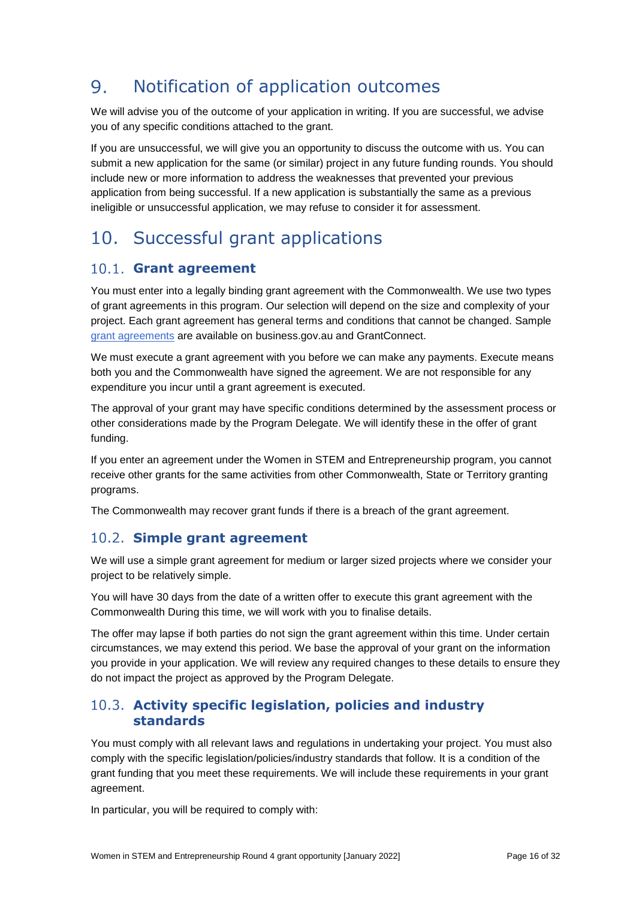#### $9<sub>1</sub>$ Notification of application outcomes

We will advise you of the outcome of your application in writing. If you are successful, we advise you of any specific conditions attached to the grant.

If you are unsuccessful, we will give you an opportunity to discuss the outcome with us. You can submit a new application for the same (or similar) project in any future funding rounds. You should include new or more information to address the weaknesses that prevented your previous application from being successful. If a new application is substantially the same as a previous ineligible or unsuccessful application, we may refuse to consider it for assessment.

# 10. Successful grant applications

### 10.1. Grant agreement

You must enter into a legally binding grant agreement with the Commonwealth. We use two types of grant agreements in this program. Our selection will depend on the size and complexity of your project. Each grant agreement has general terms and conditions that cannot be changed. Sample [grant agreements](https://business.gov.au/-/media/grants-and-programs/wise/women-in-stem-and-entrepreneurship-simple-grant-agreement-docx.ashx?sc_lang=en&hash=1A2401F7A2F14D4A57B9BD7893C9D6C8) are available on business.gov.au and GrantConnect.

We must execute a grant agreement with you before we can make any payments. Execute means both you and the Commonwealth have signed the agreement. We are not responsible for any expenditure you incur until a grant agreement is executed.

The approval of your grant may have specific conditions determined by the assessment process or other considerations made by the Program Delegate. We will identify these in the offer of grant funding.

If you enter an agreement under the Women in STEM and Entrepreneurship program, you cannot receive other grants for the same activities from other Commonwealth, State or Territory granting programs.

The Commonwealth may recover grant funds if there is a breach of the grant agreement.

### **Simple grant agreement**

We will use a simple grant agreement for medium or larger sized projects where we consider your project to be relatively simple.

You will have 30 days from the date of a written offer to execute this grant agreement with the Commonwealth During this time, we will work with you to finalise details.

The offer may lapse if both parties do not sign the grant agreement within this time. Under certain circumstances, we may extend this period. We base the approval of your grant on the information you provide in your application. We will review any required changes to these details to ensure they do not impact the project as approved by the Program Delegate.

### **Activity specific legislation, policies and industry standards**

You must comply with all relevant laws and regulations in undertaking your project. You must also comply with the specific legislation/policies/industry standards that follow. It is a condition of the grant funding that you meet these requirements. We will include these requirements in your grant agreement.

In particular, you will be required to comply with: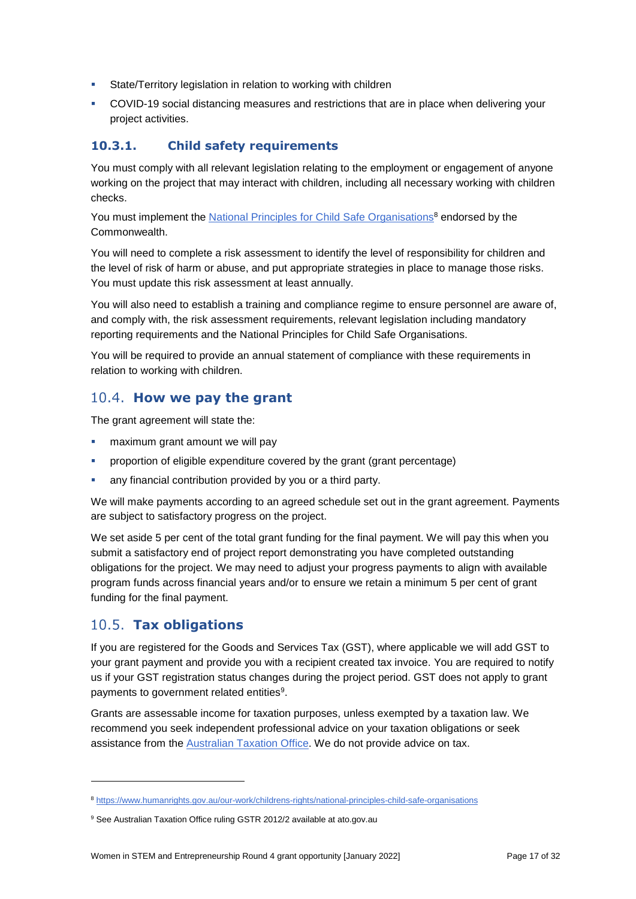- State/Territory legislation in relation to working with children
- COVID-19 social distancing measures and restrictions that are in place when delivering your project activities.

### **10.3.1. Child safety requirements**

You must comply with all relevant legislation relating to the employment or engagement of anyone working on the project that may interact with children, including all necessary working with children checks.

You must implement the [National Principles for Child Safe Organisations](https://www.humanrights.gov.au/our-work/childrens-rights/national-principles-child-safe-organisations)<sup>8</sup> endorsed by the Commonwealth.

You will need to complete a risk assessment to identify the level of responsibility for children and the level of risk of harm or abuse, and put appropriate strategies in place to manage those risks. You must update this risk assessment at least annually.

You will also need to establish a training and compliance regime to ensure personnel are aware of, and comply with, the risk assessment requirements, relevant legislation including mandatory reporting requirements and the National Principles for Child Safe Organisations.

You will be required to provide an annual statement of compliance with these requirements in relation to working with children.

### 10.4. **How we pay the grant**

The grant agreement will state the:

- maximum grant amount we will pay
- proportion of eligible expenditure covered by the grant (grant percentage)
- any financial contribution provided by you or a third party.

We will make payments according to an agreed schedule set out in the grant agreement. Payments are subject to satisfactory progress on the project.

We set aside 5 per cent of the total grant funding for the final payment. We will pay this when you submit a satisfactory end of project report demonstrating you have completed outstanding obligations for the project. We may need to adjust your progress payments to align with available program funds across financial years and/or to ensure we retain a minimum 5 per cent of grant funding for the final payment.

### **Tax obligations**

1

If you are registered for the Goods and Services Tax (GST), where applicable we will add GST to your grant payment and provide you with a recipient created tax invoice. You are required to notify us if your GST registration status changes during the project period. GST does not apply to grant payments to government related entities<sup>9</sup>.

Grants are assessable income for taxation purposes, unless exempted by a taxation law. We recommend you seek independent professional advice on your taxation obligations or seek assistance from the [Australian Taxation Office.](https://www.ato.gov.au/) We do not provide advice on tax.

<sup>8</sup> <https://www.humanrights.gov.au/our-work/childrens-rights/national-principles-child-safe-organisations>

<sup>&</sup>lt;sup>9</sup> See Australian Taxation Office ruling GSTR 2012/2 available at ato.gov.au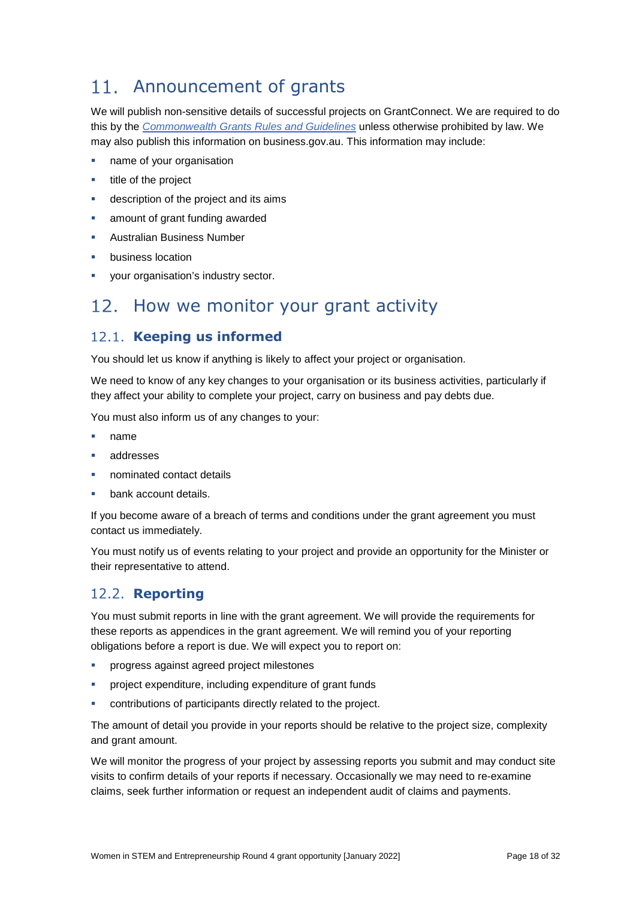#### Announcement of grants 11.

We will publish non-sensitive details of successful projects on GrantConnect. We are required to do this by the *[Commonwealth Grants Rules and Guidelines](https://www.finance.gov.au/government/commonwealth-grants/commonwealth-grants-rules-guidelines)* unless otherwise prohibited by law. We may also publish this information on business.gov.au. This information may include:

- name of your organisation
- title of the project
- description of the project and its aims
- amount of grant funding awarded
- Australian Business Number
- business location
- your organisation's industry sector.

#### How we monitor your grant activity  $12.$

### 12.1. **Keeping us informed**

You should let us know if anything is likely to affect your project or organisation.

We need to know of any key changes to your organisation or its business activities, particularly if they affect your ability to complete your project, carry on business and pay debts due.

You must also inform us of any changes to your:

- name
- addresses
- nominated contact details
- bank account details.

If you become aware of a breach of terms and conditions under the grant agreement you must contact us immediately.

You must notify us of events relating to your project and provide an opportunity for the Minister or their representative to attend.

### 12.2. **Reporting**

You must submit reports in line with the grant agreement. We will provide the requirements for these reports as appendices in the grant agreement. We will remind you of your reporting obligations before a report is due. We will expect you to report on:

- progress against agreed project milestones
- project expenditure, including expenditure of grant funds
- contributions of participants directly related to the project.

The amount of detail you provide in your reports should be relative to the project size, complexity and grant amount.

We will monitor the progress of your project by assessing reports you submit and may conduct site visits to confirm details of your reports if necessary. Occasionally we may need to re-examine claims, seek further information or request an independent audit of claims and payments.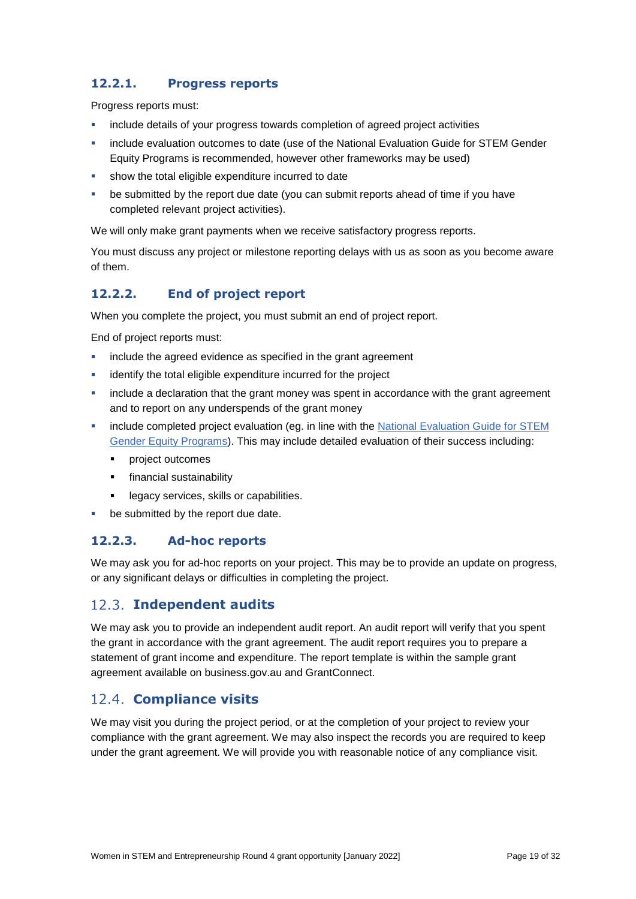### **12.2.1. Progress reports**

Progress reports must:

- include details of your progress towards completion of agreed project activities
- **EXECT** include evaluation outcomes to date (use of the National Evaluation Guide for STEM Gender Equity Programs is recommended, however other frameworks may be used)
- show the total eligible expenditure incurred to date
- be submitted by the report due date (you can submit reports ahead of time if you have completed relevant project activities).

We will only make grant payments when we receive satisfactory progress reports.

You must discuss any project or milestone reporting delays with us as soon as you become aware of them.

#### **12.2.2. End of project report**

When you complete the project, you must submit an end of project report.

End of project reports must:

- include the agreed evidence as specified in the grant agreement
- identify the total eligible expenditure incurred for the project
- include a declaration that the grant money was spent in accordance with the grant agreement and to report on any underspends of the grant money
- include completed project evaluation (eg. in line with the [National Evaluation Guide for STEM](https://womeninstem.org.au/national-evaluation-guide/)  [Gender Equity Programs\)](https://womeninstem.org.au/national-evaluation-guide/). This may include detailed evaluation of their success including:
	- project outcomes
	- **financial sustainability**
	- **e** legacy services, skills or capabilities.
- **be submitted by the report due date.**

#### **12.2.3. Ad-hoc reports**

We may ask you for ad-hoc reports on your project. This may be to provide an update on progress, or any significant delays or difficulties in completing the project.

### 12.3. Independent audits

We may ask you to provide an independent audit report. An audit report will verify that you spent the grant in accordance with the grant agreement. The audit report requires you to prepare a statement of grant income and expenditure. The report template is within the sample grant agreement available on business.gov.au and GrantConnect.

### 12.4. **Compliance visits**

We may visit you during the project period, or at the completion of your project to review your compliance with the grant agreement. We may also inspect the records you are required to keep under the grant agreement. We will provide you with reasonable notice of any compliance visit.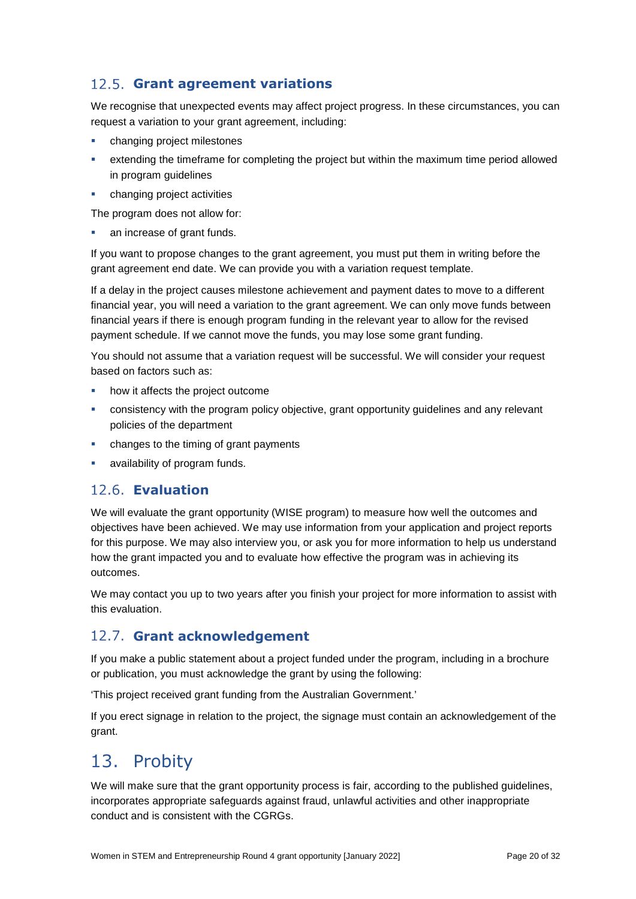### 12.5. Grant agreement variations

We recognise that unexpected events may affect project progress. In these circumstances, you can request a variation to your grant agreement, including:

- changing project milestones
- extending the timeframe for completing the project but within the maximum time period allowed in program guidelines
- changing project activities

The program does not allow for:

an increase of grant funds.

If you want to propose changes to the grant agreement, you must put them in writing before the grant agreement end date. We can provide you with a variation request template.

If a delay in the project causes milestone achievement and payment dates to move to a different financial year, you will need a variation to the grant agreement. We can only move funds between financial years if there is enough program funding in the relevant year to allow for the revised payment schedule. If we cannot move the funds, you may lose some grant funding.

You should not assume that a variation request will be successful. We will consider your request based on factors such as:

- **•** how it affects the project outcome
- consistency with the program policy objective, grant opportunity guidelines and any relevant policies of the department
- changes to the timing of grant payments
- availability of program funds.

### **Evaluation**

We will evaluate the grant opportunity (WISE program) to measure how well the outcomes and objectives have been achieved. We may use information from your application and project reports for this purpose. We may also interview you, or ask you for more information to help us understand how the grant impacted you and to evaluate how effective the program was in achieving its outcomes.

We may contact you up to two years after you finish your project for more information to assist with this evaluation.

### 12.7. Grant acknowledgement

If you make a public statement about a project funded under the program, including in a brochure or publication, you must acknowledge the grant by using the following:

'This project received grant funding from the Australian Government.'

If you erect signage in relation to the project, the signage must contain an acknowledgement of the grant.

# 13. Probity

We will make sure that the grant opportunity process is fair, according to the published guidelines, incorporates appropriate safeguards against fraud, unlawful activities and other inappropriate conduct and is consistent with the CGRGs.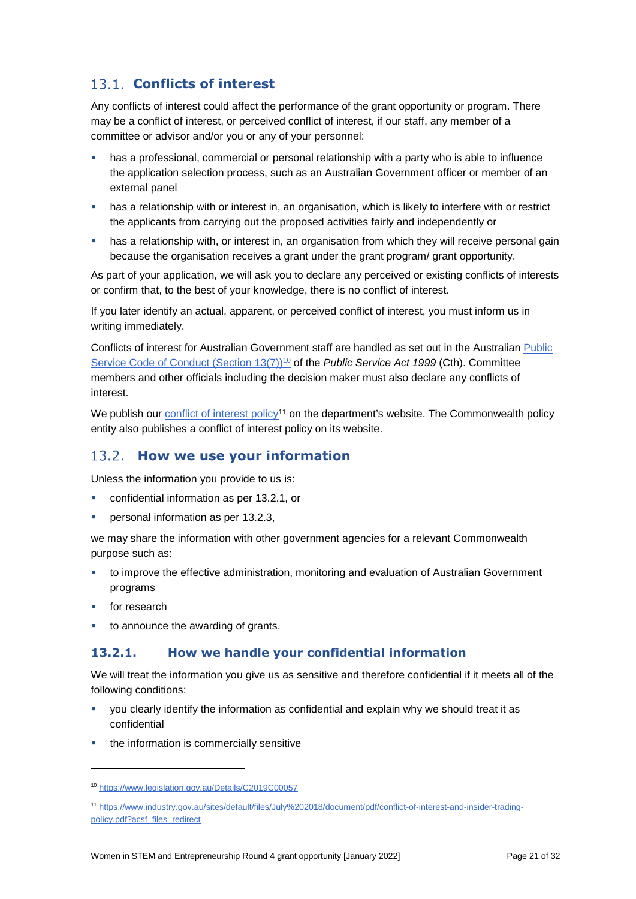### 13.1. **Conflicts of interest**

Any conflicts of interest could affect the performance of the grant opportunity or program. There may be a [conflict of interest,](http://www.apsc.gov.au/publications-and-media/current-publications/aps-values-and-code-of-conduct-in-practice/conflict-of-interest) or perceived conflict of interest, if our staff, any member of a committee or advisor and/or you or any of your personnel:

- has a professional, commercial or personal relationship with a party who is able to influence the application selection process, such as an Australian Government officer or member of an external panel
- has a relationship with or interest in, an organisation, which is likely to interfere with or restrict the applicants from carrying out the proposed activities fairly and independently or
- **•** has a relationship with, or interest in, an organisation from which they will receive personal gain because the organisation receives a grant under the grant program/ grant opportunity.

As part of your application, we will ask you to declare any perceived or existing conflicts of interests or confirm that, to the best of your knowledge, there is no conflict of interest.

If you later identify an actual, apparent, or perceived conflict of interest, you must inform us in writing immediately.

Conflicts of interest for Australian Government staff are handled as set out in the Australian [Public](https://www.legislation.gov.au/Details/C2019C00057)  [Service Code of Conduct \(Section 13\(7\)\)](https://www.legislation.gov.au/Details/C2019C00057)<sup>10</sup> of the *Public Service Act 1999* (Cth). Committee members and other officials including the decision maker must also declare any conflicts of interest.

We publish our [conflict of interest policy](https://www.industry.gov.au/sites/g/files/net3906/f/July%202018/document/pdf/conflict-of-interest-and-insider-trading-policy.pdf)<sup>11</sup> on the department's website. The Commonwealth policy entity also publishes a conflict of interest policy on its website.

### 13.2. How we use your information

Unless the information you provide to us is:

- confidential information as per [13.2.1,](#page-20-0) or
- personal information as per [13.2.3,](#page-21-0)

we may share the information with other government agencies for a relevant Commonwealth purpose such as:

- to improve the effective administration, monitoring and evaluation of Australian Government programs
- **for research**

1

to announce the awarding of grants.

### <span id="page-20-0"></span>**13.2.1. How we handle your confidential information**

We will treat the information you give us as sensitive and therefore confidential if it meets all of the following conditions:

- you clearly identify the information as confidential and explain why we should treat it as confidential
- the information is commercially sensitive

<sup>10</sup> https://www.legislation.gov.au/Details/C2019C00057

<sup>11</sup> [https://www.industry.gov.au/sites/default/files/July%202018/document/pdf/conflict-of-interest-and-insider-trading](https://www.industry.gov.au/sites/default/files/July%202018/document/pdf/conflict-of-interest-and-insider-trading-policy.pdf?acsf_files_redirect)[policy.pdf?acsf\\_files\\_redirect](https://www.industry.gov.au/sites/default/files/July%202018/document/pdf/conflict-of-interest-and-insider-trading-policy.pdf?acsf_files_redirect)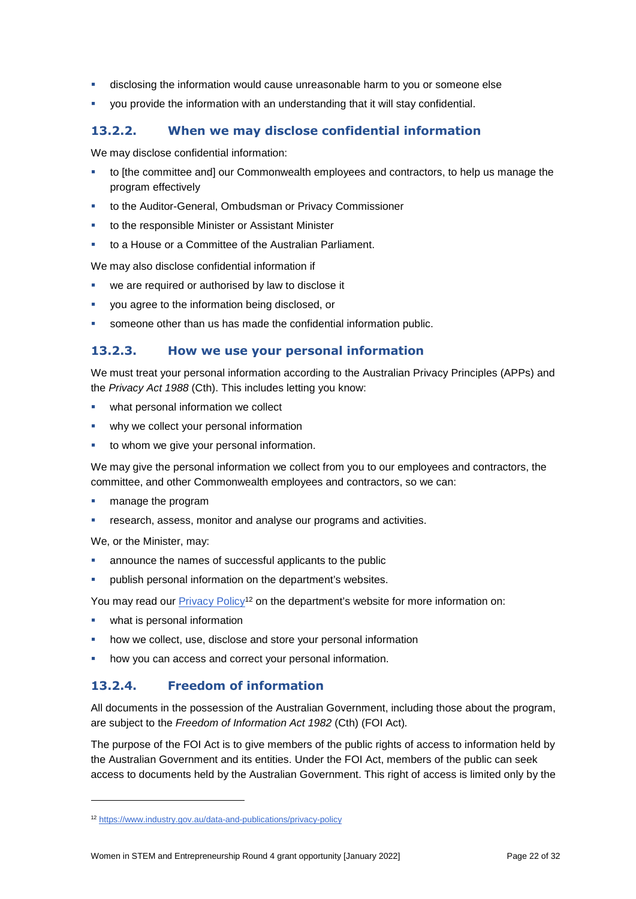- disclosing the information would cause unreasonable harm to you or someone else
- you provide the information with an understanding that it will stay confidential.

#### **13.2.2. When we may disclose confidential information**

We may disclose confidential information:

- to [the committee and] our Commonwealth employees and contractors, to help us manage the program effectively
- to the Auditor-General, Ombudsman or Privacy Commissioner
- to the responsible Minister or Assistant Minister
- to a House or a Committee of the Australian Parliament.

We may also disclose confidential information if

- we are required or authorised by law to disclose it
- you agree to the information being disclosed, or
- someone other than us has made the confidential information public.

#### <span id="page-21-0"></span>**13.2.3. How we use your personal information**

We must treat your personal information according to the Australian Privacy Principles (APPs) and the *Privacy Act 1988* (Cth). This includes letting you know:

- what personal information we collect
- why we collect your personal information
- to whom we give your personal information.

We may give the personal information we collect from you to our employees and contractors, the committee, and other Commonwealth employees and contractors, so we can:

- manage the program
- research, assess, monitor and analyse our programs and activities.

We, or the Minister, may:

1

- announce the names of successful applicants to the public
- publish personal information on the department's websites.

You may read our [Privacy Policy](https://www.industry.gov.au/data-and-publications/privacy-policy)<sup>12</sup> on the department's website for more information on:

- what is personal information
- how we collect, use, disclose and store your personal information
- how you can access and correct your personal information.

#### **13.2.4. Freedom of information**

All documents in the possession of the Australian Government, including those about the program, are subject to the *Freedom of Information Act 1982* (Cth) (FOI Act)*.*

The purpose of the FOI Act is to give members of the public rights of access to information held by the Australian Government and its entities. Under the FOI Act, members of the public can seek access to documents held by the Australian Government. This right of access is limited only by the

<sup>12</sup> <https://www.industry.gov.au/data-and-publications/privacy-policy>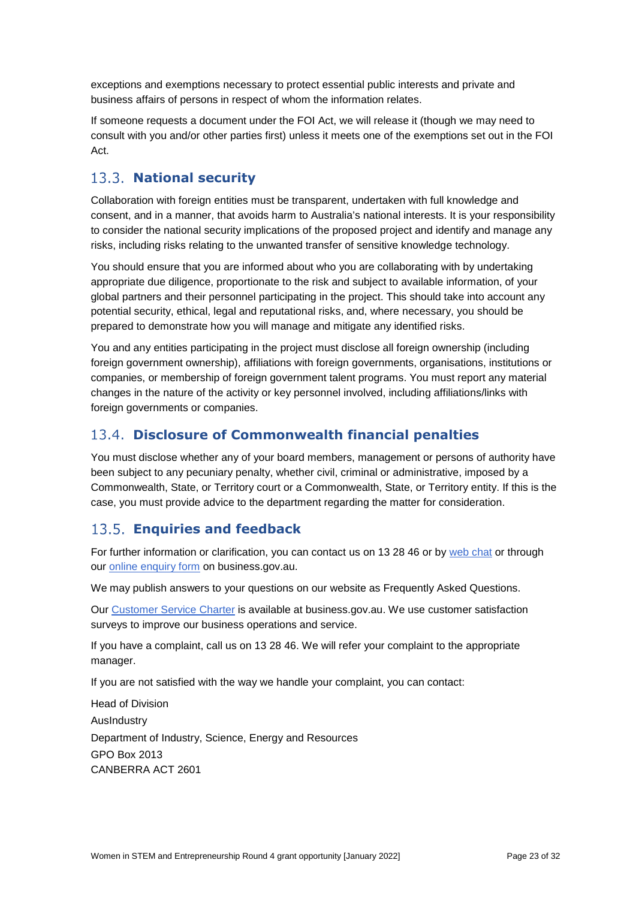exceptions and exemptions necessary to protect essential public interests and private and business affairs of persons in respect of whom the information relates.

If someone requests a document under the FOI Act, we will release it (though we may need to consult with you and/or other parties first) unless it meets one of the exemptions set out in the FOI Act.

### 13.3. National security

Collaboration with foreign entities must be transparent, undertaken with full knowledge and consent, and in a manner, that avoids harm to Australia's national interests. It is your responsibility to consider the national security implications of the proposed project and identify and manage any risks, including risks relating to the unwanted transfer of sensitive knowledge technology.

You should ensure that you are informed about who you are collaborating with by undertaking appropriate due diligence, proportionate to the risk and subject to available information, of your global partners and their personnel participating in the project. This should take into account any potential security, ethical, legal and reputational risks, and, where necessary, you should be prepared to demonstrate how you will manage and mitigate any identified risks.

You and any entities participating in the project must disclose all foreign ownership (including foreign government ownership), affiliations with foreign governments, organisations, institutions or companies, or membership of foreign government talent programs. You must report any material changes in the nature of the activity or key personnel involved, including affiliations/links with foreign governments or companies.

### **Disclosure of Commonwealth financial penalties**

You must disclose whether any of your board members, management or persons of authority have been subject to any pecuniary penalty, whether civil, criminal or administrative, imposed by a Commonwealth, State, or Territory court or a Commonwealth, State, or Territory entity. If this is the case, you must provide advice to the department regarding the matter for consideration.

### **Enquiries and feedback**

For further information or clarification, you can contact us on 13 28 46 or by [web chat](https://www.business.gov.au/contact-us) or through our [online enquiry form](http://www.business.gov.au/contact-us/Pages/default.aspx) on business.gov.au.

We may publish answers to your questions on our website as Frequently Asked Questions.

Our [Customer Service Charter](https://www.business.gov.au/about/customer-service-charter) is available at [business.gov.au.](http://www.business.gov.au/) We use customer satisfaction surveys to improve our business operations and service.

If you have a complaint, call us on 13 28 46. We will refer your complaint to the appropriate manager.

If you are not satisfied with the way we handle your complaint, you can contact:

Head of Division AusIndustry Department of Industry, Science, Energy and Resources GPO Box 2013 CANBERRA ACT 2601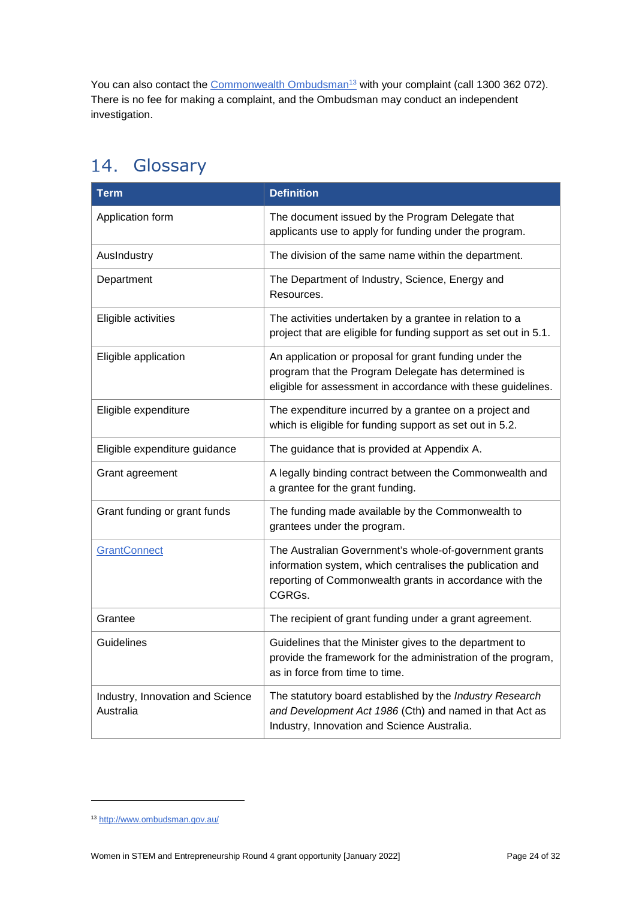You can also contact the [Commonwealth Ombudsman](http://www.ombudsman.gov.au/)<sup>13</sup> with your complaint (call 1300 362 072). There is no fee for making a complaint, and the Ombudsman may conduct an independent investigation.

# <span id="page-23-0"></span>14. Glossary

| <b>Term</b>                                   | <b>Definition</b>                                                                                                                                                                        |
|-----------------------------------------------|------------------------------------------------------------------------------------------------------------------------------------------------------------------------------------------|
| Application form                              | The document issued by the Program Delegate that<br>applicants use to apply for funding under the program.                                                                               |
| AusIndustry                                   | The division of the same name within the department.                                                                                                                                     |
| Department                                    | The Department of Industry, Science, Energy and<br>Resources.                                                                                                                            |
| Eligible activities                           | The activities undertaken by a grantee in relation to a<br>project that are eligible for funding support as set out in 5.1.                                                              |
| Eligible application                          | An application or proposal for grant funding under the<br>program that the Program Delegate has determined is<br>eligible for assessment in accordance with these guidelines.            |
| Eligible expenditure                          | The expenditure incurred by a grantee on a project and<br>which is eligible for funding support as set out in 5.2.                                                                       |
| Eligible expenditure guidance                 | The guidance that is provided at Appendix A.                                                                                                                                             |
| Grant agreement                               | A legally binding contract between the Commonwealth and<br>a grantee for the grant funding.                                                                                              |
| Grant funding or grant funds                  | The funding made available by the Commonwealth to<br>grantees under the program.                                                                                                         |
| GrantConnect                                  | The Australian Government's whole-of-government grants<br>information system, which centralises the publication and<br>reporting of Commonwealth grants in accordance with the<br>CGRGs. |
| Grantee                                       | The recipient of grant funding under a grant agreement.                                                                                                                                  |
| Guidelines                                    | Guidelines that the Minister gives to the department to<br>provide the framework for the administration of the program,<br>as in force from time to time.                                |
| Industry, Innovation and Science<br>Australia | The statutory board established by the Industry Research<br>and Development Act 1986 (Cth) and named in that Act as<br>Industry, Innovation and Science Australia.                       |

1

<sup>13</sup> <http://www.ombudsman.gov.au/>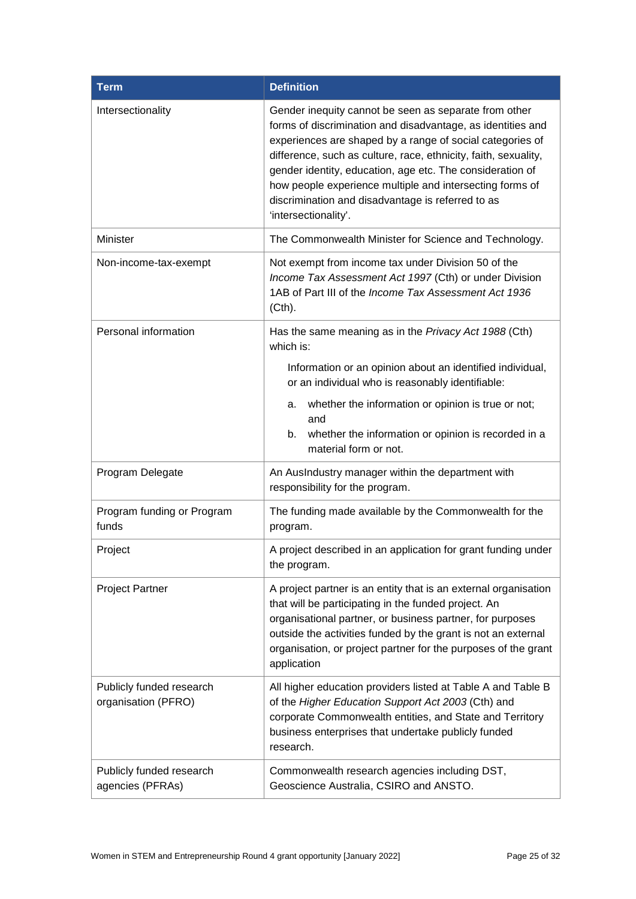| <b>Term</b>                                     | <b>Definition</b>                                                                                                                                                                                                                                                                                                                                                                                                                                          |
|-------------------------------------------------|------------------------------------------------------------------------------------------------------------------------------------------------------------------------------------------------------------------------------------------------------------------------------------------------------------------------------------------------------------------------------------------------------------------------------------------------------------|
| Intersectionality                               | Gender inequity cannot be seen as separate from other<br>forms of discrimination and disadvantage, as identities and<br>experiences are shaped by a range of social categories of<br>difference, such as culture, race, ethnicity, faith, sexuality,<br>gender identity, education, age etc. The consideration of<br>how people experience multiple and intersecting forms of<br>discrimination and disadvantage is referred to as<br>'intersectionality'. |
| Minister                                        | The Commonwealth Minister for Science and Technology.                                                                                                                                                                                                                                                                                                                                                                                                      |
| Non-income-tax-exempt                           | Not exempt from income tax under Division 50 of the<br>Income Tax Assessment Act 1997 (Cth) or under Division<br>1AB of Part III of the Income Tax Assessment Act 1936<br>(Cth).                                                                                                                                                                                                                                                                           |
| Personal information                            | Has the same meaning as in the Privacy Act 1988 (Cth)<br>which is:                                                                                                                                                                                                                                                                                                                                                                                         |
|                                                 | Information or an opinion about an identified individual,<br>or an individual who is reasonably identifiable:                                                                                                                                                                                                                                                                                                                                              |
|                                                 | whether the information or opinion is true or not;<br>a.<br>and<br>whether the information or opinion is recorded in a<br>b.<br>material form or not.                                                                                                                                                                                                                                                                                                      |
| Program Delegate                                | An AusIndustry manager within the department with<br>responsibility for the program.                                                                                                                                                                                                                                                                                                                                                                       |
| Program funding or Program<br>funds             | The funding made available by the Commonwealth for the<br>program.                                                                                                                                                                                                                                                                                                                                                                                         |
| Project                                         | A project described in an application for grant funding under<br>the program.                                                                                                                                                                                                                                                                                                                                                                              |
| <b>Project Partner</b>                          | A project partner is an entity that is an external organisation<br>that will be participating in the funded project. An<br>organisational partner, or business partner, for purposes<br>outside the activities funded by the grant is not an external<br>organisation, or project partner for the purposes of the grant<br>application                                                                                                                     |
| Publicly funded research<br>organisation (PFRO) | All higher education providers listed at Table A and Table B<br>of the Higher Education Support Act 2003 (Cth) and<br>corporate Commonwealth entities, and State and Territory<br>business enterprises that undertake publicly funded<br>research.                                                                                                                                                                                                         |
| Publicly funded research<br>agencies (PFRAs)    | Commonwealth research agencies including DST,<br>Geoscience Australia, CSIRO and ANSTO.                                                                                                                                                                                                                                                                                                                                                                    |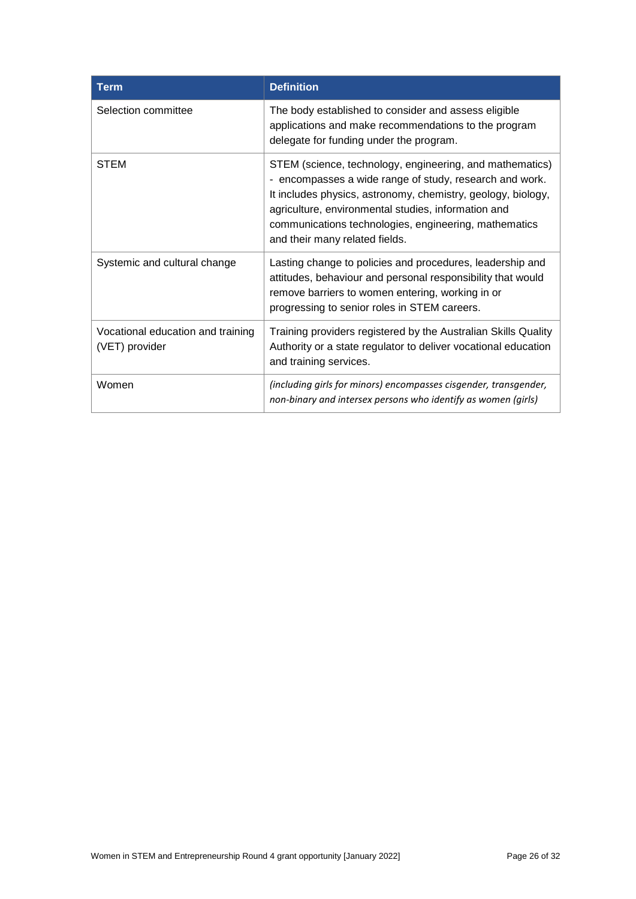| <b>Term</b>                                         | <b>Definition</b>                                                                                                                                                                                                                                                                                                                     |
|-----------------------------------------------------|---------------------------------------------------------------------------------------------------------------------------------------------------------------------------------------------------------------------------------------------------------------------------------------------------------------------------------------|
| Selection committee                                 | The body established to consider and assess eligible<br>applications and make recommendations to the program<br>delegate for funding under the program.                                                                                                                                                                               |
| <b>STEM</b>                                         | STEM (science, technology, engineering, and mathematics)<br>- encompasses a wide range of study, research and work.<br>It includes physics, astronomy, chemistry, geology, biology,<br>agriculture, environmental studies, information and<br>communications technologies, engineering, mathematics<br>and their many related fields. |
| Systemic and cultural change                        | Lasting change to policies and procedures, leadership and<br>attitudes, behaviour and personal responsibility that would<br>remove barriers to women entering, working in or<br>progressing to senior roles in STEM careers.                                                                                                          |
| Vocational education and training<br>(VET) provider | Training providers registered by the Australian Skills Quality<br>Authority or a state regulator to deliver vocational education<br>and training services.                                                                                                                                                                            |
| Women                                               | (including girls for minors) encompasses cisgender, transgender,<br>non-binary and intersex persons who identify as women (girls)                                                                                                                                                                                                     |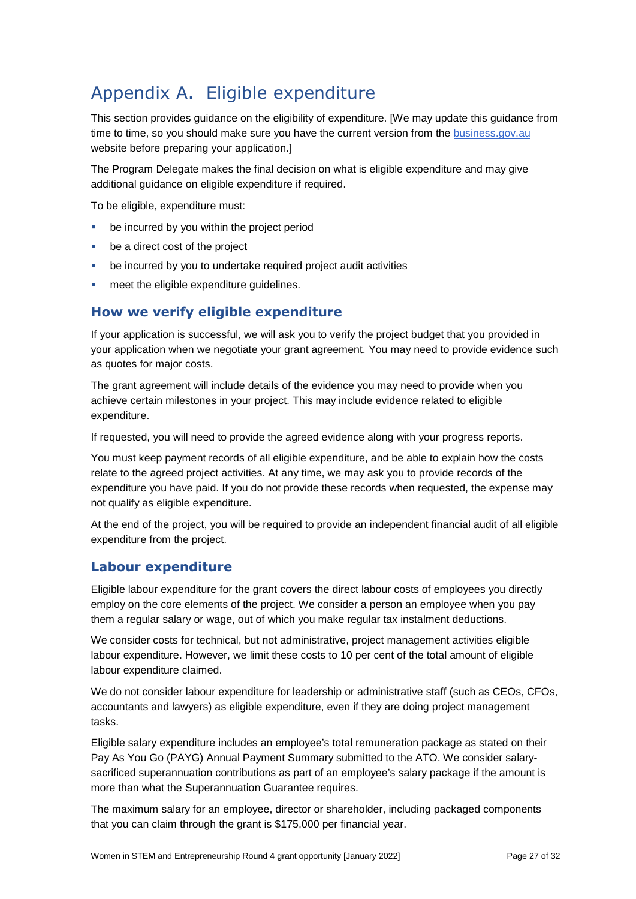# Appendix A. Eligible expenditure

This section provides guidance on the eligibility of expenditure. [We may update this guidance from time to time, so you should make sure you have the current version from the [business.gov.au](https://www.business.gov.au/) website before preparing your application.]

The Program Delegate makes the final decision on what is eligible expenditure and may give additional guidance on eligible expenditure if required.

To be eligible, expenditure must:

- be incurred by you within the project period
- be a direct cost of the project
- be incurred by you to undertake required project audit activities
- **names in the eligible expenditure quidelines.**

### **How we verify eligible expenditure**

If your application is successful, we will ask you to verify the project budget that you provided in your application when we negotiate your grant agreement. You may need to provide evidence such as quotes for major costs.

The grant agreement will include details of the evidence you may need to provide when you achieve certain milestones in your project. This may include evidence related to eligible expenditure.

If requested, you will need to provide the agreed evidence along with your progress reports.

You must keep payment records of all eligible expenditure, and be able to explain how the costs relate to the agreed project activities. At any time, we may ask you to provide records of the expenditure you have paid. If you do not provide these records when requested, the expense may not qualify as eligible expenditure.

At the end of the project, you will be required to provide an independent financial audit of all eligible expenditure from the project.

### **Labour expenditure**

Eligible labour expenditure for the grant covers the direct labour costs of employees you directly employ on the core elements of the project. We consider a person an employee when you pay them a regular salary or wage, out of which you make regular tax instalment deductions.

We consider costs for technical, but not administrative, project management activities eligible labour expenditure. However, we limit these costs to 10 per cent of the total amount of eligible labour expenditure claimed.

We do not consider labour expenditure for leadership or administrative staff (such as CEOs, CFOs, accountants and lawyers) as eligible expenditure, even if they are doing project management tasks.

Eligible salary expenditure includes an employee's total remuneration package as stated on their Pay As You Go (PAYG) Annual Payment Summary submitted to the ATO. We consider salarysacrificed superannuation contributions as part of an employee's salary package if the amount is more than what the Superannuation Guarantee requires.

The maximum salary for an employee, director or shareholder, including packaged components that you can claim through the grant is \$175,000 per financial year.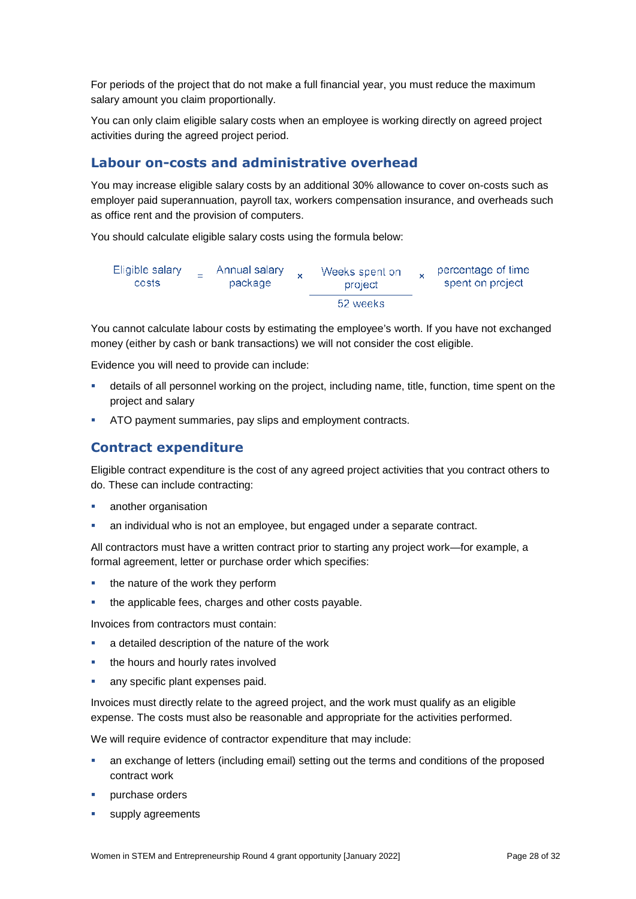For periods of the project that do not make a full financial year, you must reduce the maximum salary amount you claim proportionally.

You can only claim eligible salary costs when an employee is working directly on agreed project activities during the agreed project period.

### **Labour on-costs and administrative overhead**

You may increase eligible salary costs by an additional 30% allowance to cover on-costs such as employer paid superannuation, payroll tax, workers compensation insurance, and overheads such as office rent and the provision of computers.

You should calculate eligible salary costs using the formula below:



You cannot calculate labour costs by estimating the employee's worth. If you have not exchanged money (either by cash or bank transactions) we will not consider the cost eligible.

Evidence you will need to provide can include:

- details of all personnel working on the project, including name, title, function, time spent on the project and salary
- ATO payment summaries, pay slips and employment contracts.

#### **Contract expenditure**

Eligible contract expenditure is the cost of any agreed project activities that you contract others to do. These can include contracting:

- **another organisation**
- an individual who is not an employee, but engaged under a separate contract.

All contractors must have a written contract prior to starting any project work—for example, a formal agreement, letter or purchase order which specifies:

- $\blacksquare$  the nature of the work they perform
- the applicable fees, charges and other costs payable.

Invoices from contractors must contain:

- a detailed description of the nature of the work
- the hours and hourly rates involved
- **any specific plant expenses paid.**

Invoices must directly relate to the agreed project, and the work must qualify as an eligible expense. The costs must also be reasonable and appropriate for the activities performed.

We will require evidence of contractor expenditure that may include:

- an exchange of letters (including email) setting out the terms and conditions of the proposed contract work
- **•** purchase orders
- supply agreements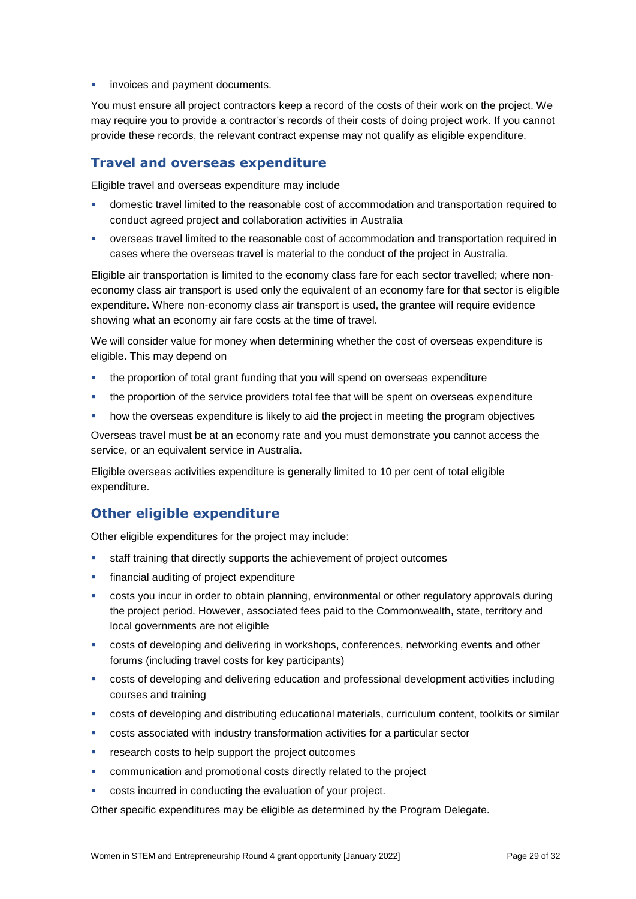invoices and payment documents.

You must ensure all project contractors keep a record of the costs of their work on the project. We may require you to provide a contractor's records of their costs of doing project work. If you cannot provide these records, the relevant contract expense may not qualify as eligible expenditure.

#### **Travel and overseas expenditure**

Eligible travel and overseas expenditure may include

- domestic travel limited to the reasonable cost of accommodation and transportation required to conduct agreed project and collaboration activities in Australia
- overseas travel limited to the reasonable cost of accommodation and transportation required in cases where the overseas travel is material to the conduct of the project in Australia.

Eligible air transportation is limited to the economy class fare for each sector travelled; where noneconomy class air transport is used only the equivalent of an economy fare for that sector is eligible expenditure. Where non-economy class air transport is used, the grantee will require evidence showing what an economy air fare costs at the time of travel.

We will consider value for money when determining whether the cost of overseas expenditure is eligible. This may depend on

- the proportion of total grant funding that you will spend on overseas expenditure
- the proportion of the service providers total fee that will be spent on overseas expenditure
- how the overseas expenditure is likely to aid the project in meeting the program objectives

Overseas travel must be at an economy rate and you must demonstrate you cannot access the service, or an equivalent service in Australia.

Eligible overseas activities expenditure is generally limited to 10 per cent of total eligible expenditure.

### **Other eligible expenditure**

Other eligible expenditures for the project may include:

- staff training that directly supports the achievement of project outcomes
- financial auditing of project expenditure
- costs you incur in order to obtain planning, environmental or other regulatory approvals during the project period. However, associated fees paid to the Commonwealth, state, territory and local governments are not eligible
- **EXECTS COSTS of developing and delivering in workshops, conferences, networking events and other** forums (including travel costs for key participants)
- costs of developing and delivering education and professional development activities including courses and training
- costs of developing and distributing educational materials, curriculum content, toolkits or similar
- costs associated with industry transformation activities for a particular sector
- research costs to help support the project outcomes
- communication and promotional costs directly related to the project
- costs incurred in conducting the evaluation of your project.

Other specific expenditures may be eligible as determined by the Program Delegate.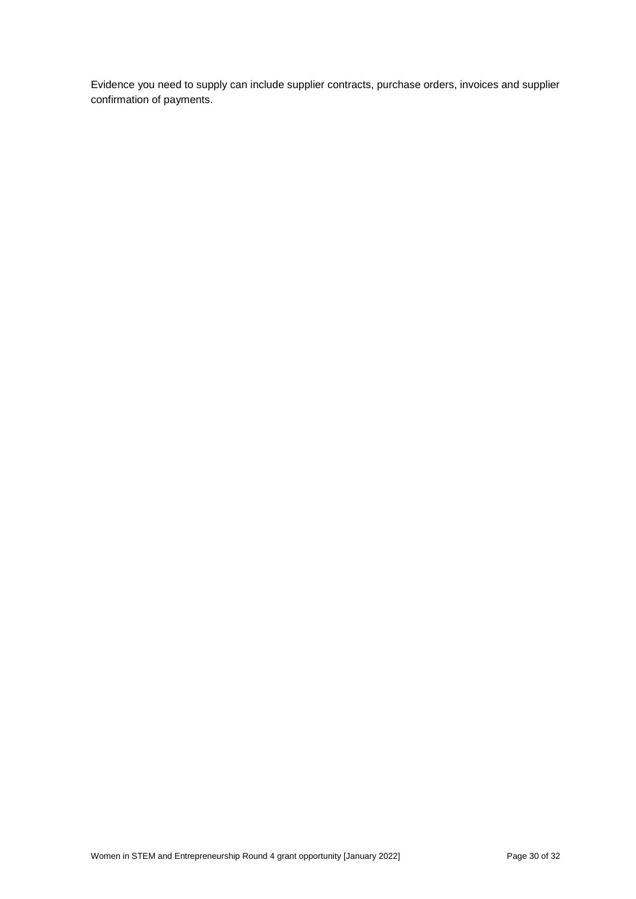Evidence you need to supply can include supplier contracts, purchase orders, invoices and supplier confirmation of payments.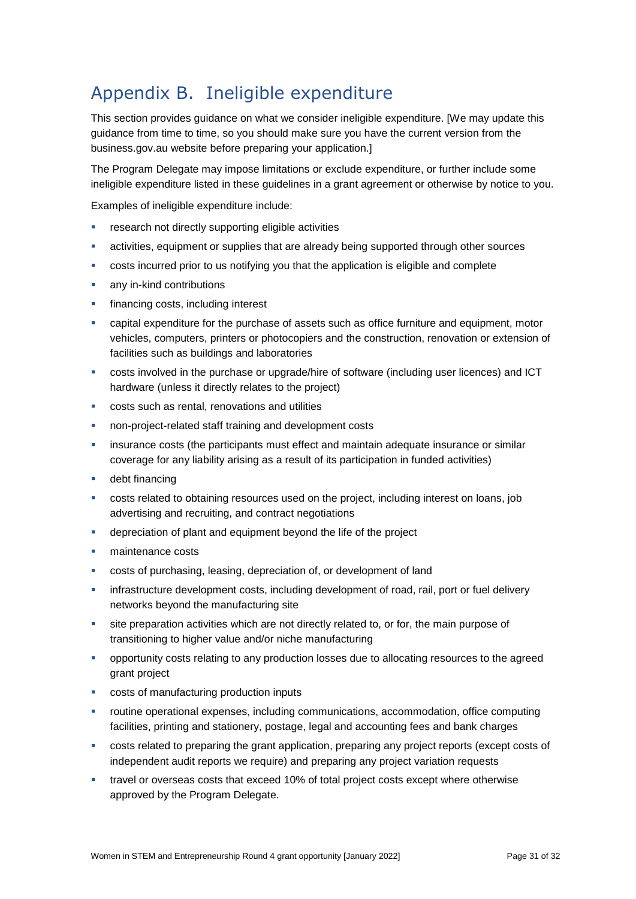# Appendix B. Ineligible expenditure

This section provides guidance on what we consider ineligible expenditure. [We may update this guidance from time to time, so you should make sure you have the current version from the business.gov.au website before preparing your application.]

The Program Delegate may impose limitations or exclude expenditure, or further include some ineligible expenditure listed in these guidelines in a grant agreement or otherwise by notice to you.

Examples of ineligible expenditure include:

- **F** research not directly supporting eligible activities
- activities, equipment or supplies that are already being supported through other sources
- costs incurred prior to us notifying you that the application is eligible and complete
- any in-kind contributions
- **financing costs, including interest**
- capital expenditure for the purchase of assets such as office furniture and equipment, motor vehicles, computers, printers or photocopiers and the construction, renovation or extension of facilities such as buildings and laboratories
- costs involved in the purchase or upgrade/hire of software (including user licences) and ICT hardware (unless it directly relates to the project)
- costs such as rental, renovations and utilities
- non-project-related staff training and development costs
- **EXED** insurance costs (the participants must effect and maintain adequate insurance or similar coverage for any liability arising as a result of its participation in funded activities)
- **debt financing**
- costs related to obtaining resources used on the project, including interest on loans, job advertising and recruiting, and contract negotiations
- depreciation of plant and equipment beyond the life of the project
- maintenance costs
- costs of purchasing, leasing, depreciation of, or development of land
- infrastructure development costs, including development of road, rail, port or fuel delivery networks beyond the manufacturing site
- site preparation activities which are not directly related to, or for, the main purpose of transitioning to higher value and/or niche manufacturing
- opportunity costs relating to any production losses due to allocating resources to the agreed grant project
- costs of manufacturing production inputs
- **•** routine operational expenses, including communications, accommodation, office computing facilities, printing and stationery, postage, legal and accounting fees and bank charges
- costs related to preparing the grant application, preparing any project reports (except costs of independent audit reports we require) and preparing any project variation requests
- travel or overseas costs that exceed 10% of total project costs except where otherwise approved by the Program Delegate.